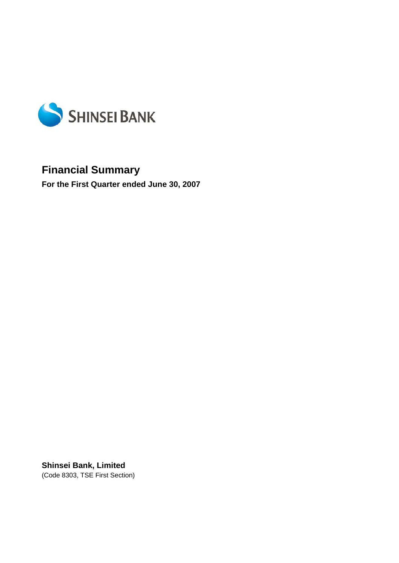

# **Financial Summary**

**For the First Quarter ended June 30, 2007** 

**Shinsei Bank, Limited**  (Code 8303, TSE First Section)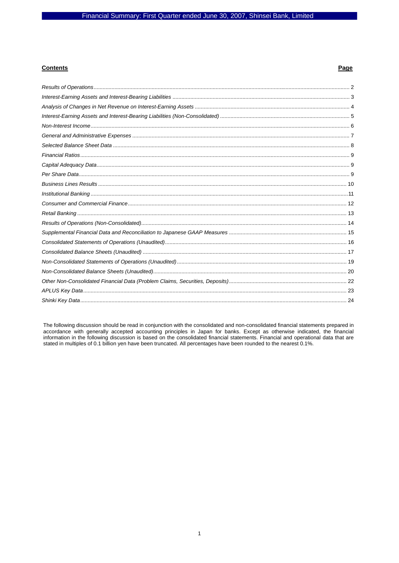### **Contents**

### Page

The following discussion should be read in conjunction with the consolidated and non-consolidated financial statements prepared in accordance with generally accepted accounting principles in Japan for banks. Except as othe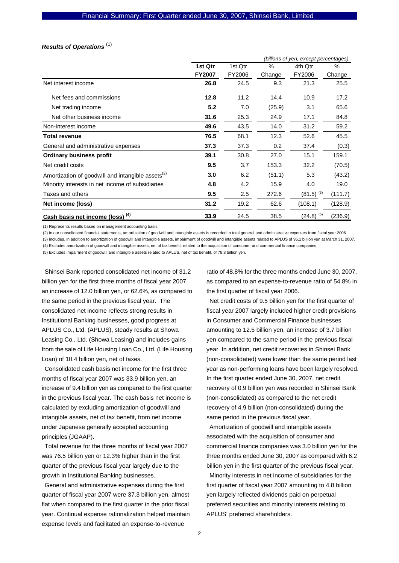# *Results of Operations*  (1)

|                                                               |               | (billions of yen, except percentages) |        |                |         |  |  |  |
|---------------------------------------------------------------|---------------|---------------------------------------|--------|----------------|---------|--|--|--|
|                                                               | 1st Qtr       | 1st Qtr                               | $\%$   | 4th Qtr        | $\%$    |  |  |  |
|                                                               | <b>FY2007</b> | FY2006                                | Change | FY2006         | Change  |  |  |  |
| Net interest income                                           | 26.8          | 24.5                                  | 9.3    | 21.3           | 25.5    |  |  |  |
| Net fees and commissions                                      | 12.8          | 11.2                                  | 14.4   | 10.9           | 17.2    |  |  |  |
| Net trading income                                            | 5.2           | 7.0                                   | (25.9) | 3.1            | 65.6    |  |  |  |
| Net other business income                                     | 31.6          | 25.3                                  | 24.9   | 17.1           | 84.8    |  |  |  |
| Non-interest income                                           | 49.6          | 43.5                                  | 14.0   | 31.2           | 59.2    |  |  |  |
| <b>Total revenue</b>                                          | 76.5          | 68.1                                  | 12.3   | 52.6           | 45.5    |  |  |  |
| General and administrative expenses                           | 37.3          | 37.3                                  | 0.2    | 37.4           | (0.3)   |  |  |  |
| <b>Ordinary business profit</b>                               | 39.1          | 30.8                                  | 27.0   | 15.1           | 159.1   |  |  |  |
| Net credit costs                                              | 9.5           | 3.7                                   | 153.3  | 32.2           | (70.5)  |  |  |  |
| Amortization of goodwill and intangible assets <sup>(2)</sup> | 3.0           | 6.2                                   | (51.1) | 5.3            | (43.2)  |  |  |  |
| Minority interests in net income of subsidiaries              | 4.8           | 4.2                                   | 15.9   | 4.0            | 19.0    |  |  |  |
| Taxes and others                                              | 9.5           | 2.5                                   | 272.6  | $(81.5)^{(3)}$ | (111.7) |  |  |  |
| Net income (loss)                                             | 31.2          | 19.2                                  | 62.6   | (108.1)        | (128.9) |  |  |  |
| Cash basis net income (loss) <sup>(4)</sup>                   | 33.9          | 24.5                                  | 38.5   | $(24.8)^{(5)}$ | (236.9) |  |  |  |

(1) Represents results based on management accounting basis.

(2) In our consolidated financial statements, amortization of goodwill and intangible assets is recorded in total general and administrative expenses from fiscal year 2006.

(3) Includes, in addition to amortization of goodwill and intangible assets, impairment of goodwill and intangible assets related to APLUS of 95.1 billion yen at March 31, 2007. (4) Excludes amortization of goodwill and intangible assets, net of tax benefit, related to the acquisition of consumer and commercial finance companies.

(5) Excludes impairment of goodwill and intangible assets related to APLUS, net of tax benefit, of 78.8 billion yen.

Shinsei Bank reported consolidated net income of 31.2 billion yen for the first three months of fiscal year 2007, an increase of 12.0 billion yen, or 62.6%, as compared to the same period in the previous fiscal year. The consolidated net income reflects strong results in Institutional Banking businesses, good progress at APLUS Co., Ltd. (APLUS), steady results at Showa Leasing Co., Ltd. (Showa Leasing) and includes gains from the sale of Life Housing Loan Co., Ltd. (Life Housing Loan) of 10.4 billion yen, net of taxes.

Consolidated cash basis net income for the first three months of fiscal year 2007 was 33.9 billion yen, an increase of 9.4 billion yen as compared to the first quarter in the previous fiscal year. The cash basis net income is calculated by excluding amortization of goodwill and intangible assets, net of tax benefit, from net income under Japanese generally accepted accounting principles (JGAAP).

Total revenue for the three months of fiscal year 2007 was 76.5 billion yen or 12.3% higher than in the first quarter of the previous fiscal year largely due to the growth in Institutional Banking businesses.

General and administrative expenses during the first quarter of fiscal year 2007 were 37.3 billion yen, almost flat when compared to the first quarter in the prior fiscal year. Continual expense rationalization helped maintain expense levels and facilitated an expense-to-revenue

ratio of 48.8% for the three months ended June 30, 2007, as compared to an expense-to-revenue ratio of 54.8% in the first quarter of fiscal year 2006.

Net credit costs of 9.5 billion yen for the first quarter of fiscal year 2007 largely included higher credit provisions in Consumer and Commercial Finance businesses amounting to 12.5 billion yen, an increase of 3.7 billion yen compared to the same period in the previous fiscal year. In addition, net credit recoveries in Shinsei Bank (non-consolidated) were lower than the same period last year as non-performing loans have been largely resolved. In the first quarter ended June 30, 2007, net credit recovery of 0.9 billion yen was recorded in Shinsei Bank (non-consolidated) as compared to the net credit recovery of 4.9 billion (non-consolidated) during the same period in the previous fiscal year.

Amortization of goodwill and intangible assets associated with the acquisition of consumer and commercial finance companies was 3.0 billion yen for the three months ended June 30, 2007 as compared with 6.2 billion yen in the first quarter of the previous fiscal year. Minority interests in net income of subsidiaries for the first quarter of fiscal year 2007 amounting to 4.8 billion yen largely reflected dividends paid on perpetual preferred securities and minority interests relating to APLUS' preferred shareholders.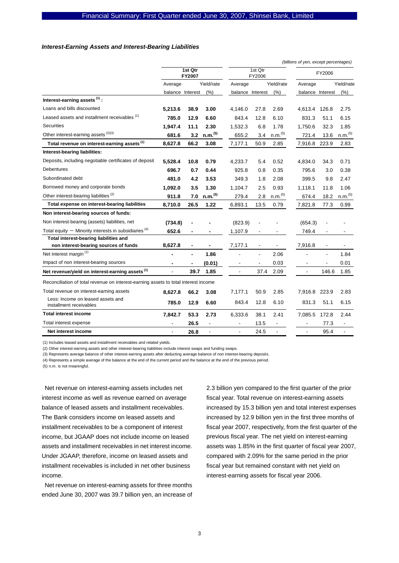#### *Interest-Earning Assets and Interest-Bearing Liabilities*

|                                                                                     |                          |                          |                          |                          |                          |                          | (billions of yen, except percentages) |                          |                          |
|-------------------------------------------------------------------------------------|--------------------------|--------------------------|--------------------------|--------------------------|--------------------------|--------------------------|---------------------------------------|--------------------------|--------------------------|
|                                                                                     |                          | 1st Qtr<br><b>FY2007</b> |                          | 1st Qtr<br>FY2006        |                          |                          | FY2006                                |                          |                          |
|                                                                                     | Average                  |                          | Yield/rate               | Average                  |                          | Yield/rate               | Average                               |                          | Yield/rate               |
|                                                                                     |                          | balance Interest         | (% )                     | balance Interest         |                          | (% )                     | balance Interest                      |                          | (% )                     |
| Interest-earning assets $(1)$ :                                                     |                          |                          |                          |                          |                          |                          |                                       |                          |                          |
| Loans and bills discounted                                                          | 5,213.6                  | 38.9                     | 3.00                     | 4,146.0                  | 27.8                     | 2.69                     | 4,613.4                               | 126.8                    | 2.75                     |
| Leased assets and installment receivables (1)                                       | 785.0                    | 12.9                     | 6.60                     | 843.4                    | 12.8                     | 6.10                     | 831.3                                 | 51.1                     | 6.15                     |
| <b>Securities</b>                                                                   | 1,947.4                  | 11.1                     | 2.30                     | 1,532.3                  | 6.8                      | 1.78                     | 1,750.6                               | 32.3                     | 1.85                     |
| Other interest-earning assets (2)(3)                                                | 681.6                    | 3.2                      | n.m. <sup>(5)</sup>      | 655.2                    | 3.4                      | n.m. <sup>(5)</sup>      | 721.4                                 | 13.6                     | n.m. <sup>(5)</sup>      |
| Total revenue on interest-earning assets <sup>(1)</sup>                             | 8,627.8                  | 66.2                     | 3.08                     | 7,177.1                  | 50.9                     | 2.85                     | 7,916.8                               | 223.9                    | 2.83                     |
| Interest-bearing liabilities:                                                       |                          |                          |                          |                          |                          |                          |                                       |                          |                          |
| Deposits, including negotiable certificates of deposit                              | 5.528.4                  | 10.8                     | 0.79                     | 4,233.7                  | 5.4                      | 0.52                     | 4,834.0                               | 34.3                     | 0.71                     |
| <b>Debentures</b>                                                                   | 696.7                    | 0.7                      | 0.44                     | 925.8                    | 0.8                      | 0.35                     | 795.6                                 | 3.0                      | 0.38                     |
| Subordinated debt                                                                   | 481.0                    | 4.2                      | 3.53                     | 349.3                    | 1.8                      | 2.08                     | 399.5                                 | 9.8                      | 2.47                     |
| Borrowed money and corporate bonds                                                  | 1,092.0                  | 3.5                      | 1.30                     | 1,104.7                  | 2.5                      | 0.93                     | 1,118.1                               | 11.8                     | 1.06                     |
| Other interest-bearing liabilities <sup>(2)</sup>                                   | 911.8                    | 7.0                      | n.m. <sup>(5)</sup>      | 279.4                    | 2.8                      | n.m. <sup>(5)</sup>      | 674.4                                 | 18.2                     | n.m. <sup>(5)</sup>      |
| Total expense on interest-bearing liabilities                                       | 8,710.0                  | 26.5                     | 1.22                     | 6,893.1                  | 13.5                     | 0.79                     | 7,821.8                               | 77.3                     | 0.99                     |
| Non interest-bearing sources of funds:                                              |                          |                          |                          |                          |                          |                          |                                       |                          |                          |
| Non interest-bearing (assets) liabilities, net                                      | (734.8)                  |                          |                          | (823.9)                  |                          |                          | (654.3)                               |                          |                          |
| Total equity $-$ Minority interests in subsidiaries $(4)$                           | 652.6                    | $\blacksquare$           | $\blacksquare$           | 1,107.9                  | $\overline{\phantom{a}}$ | $\overline{\phantom{a}}$ | 749.4                                 | $\overline{\phantom{a}}$ | $\overline{\phantom{a}}$ |
| Total interest-bearing liabilities and                                              |                          |                          |                          |                          |                          |                          |                                       |                          |                          |
| non interest-bearing sources of funds                                               | 8,627.8                  |                          |                          | 7,177.1                  |                          |                          | 7,916.8                               | $\overline{\phantom{a}}$ |                          |
| Net interest margin <sup>(1)</sup>                                                  |                          | $\blacksquare$           | 1.86                     |                          | $\overline{a}$           | 2.06                     |                                       | ÷,                       | 1.84                     |
| Impact of non interest-bearing sources                                              |                          |                          | (0.01)                   |                          |                          | 0.03                     |                                       |                          | 0.01                     |
| Net revenue/yield on interest-earning assets <sup>(1)</sup>                         | $\overline{\phantom{a}}$ | 39.7                     | 1.85                     | $\overline{\phantom{a}}$ | 37.4                     | 2.09                     | $\overline{\phantom{a}}$              | 146.6                    | 1.85                     |
| Reconciliation of total revenue on interest-earning assets to total interest income |                          |                          |                          |                          |                          |                          |                                       |                          |                          |
| Total revenue on interest-earning assets                                            | 8,627.8                  | 66.2                     | 3.08                     | 7,177.1                  | 50.9                     | 2.85                     | 7,916.8                               | 223.9                    | 2.83                     |
| Less: Income on leased assets and<br>installment receivables                        | 785.0                    | 12.9                     | 6.60                     | 843.4                    | 12.8                     | 6.10                     | 831.3                                 | 51.1                     | 6.15                     |
| <b>Total interest income</b>                                                        | 7,842.7                  | 53.3                     | 2.73                     | 6,333.6                  | 38.1                     | 2.41                     | 7,085.5                               | 172.8                    | 2.44                     |
| Total interest expense                                                              |                          | 26.5                     | $\overline{\phantom{a}}$ | $\overline{\phantom{a}}$ | 13.5                     | $\overline{\phantom{a}}$ | $\overline{\phantom{a}}$              | 77.3                     | $\blacksquare$           |
| Net interest income                                                                 |                          | 26.8                     | $\blacksquare$           | $\blacksquare$           | 24.5                     | $\overline{a}$           | $\overline{a}$                        | 95.4                     | ÷,                       |

(1) Includes leased assets and installment receivables and related yields.

(2) Other interest-earning assets and other interest-bearing liabilities include interest swaps and funding swaps.

(3) Represents average balance of other interest-earning assets after deducting average balance of non interest-bearing deposits.

(4) Represents a simple average of the balance at the end of the current period and the balance at the end of the previous period.

(5) n.m. is not meaningful.

Net revenue on interest-earning assets includes net interest income as well as revenue earned on average balance of leased assets and installment receivables. The Bank considers income on leased assets and installment receivables to be a component of interest income, but JGAAP does not include income on leased assets and installment receivables in net interest income. Under JGAAP, therefore, income on leased assets and installment receivables is included in net other business income.

Net revenue on interest-earning assets for three months ended June 30, 2007 was 39.7 billion yen, an increase of 2.3 billion yen compared to the first quarter of the prior fiscal year. Total revenue on interest-earning assets increased by 15.3 billion yen and total interest expenses increased by 12.9 billion yen in the first three months of fiscal year 2007, respectively, from the first quarter of the previous fiscal year. The net yield on interest-earning assets was 1.85% in the first quarter of fiscal year 2007, compared with 2.09% for the same period in the prior fiscal year but remained constant with net yield on interest-earning assets for fiscal year 2006.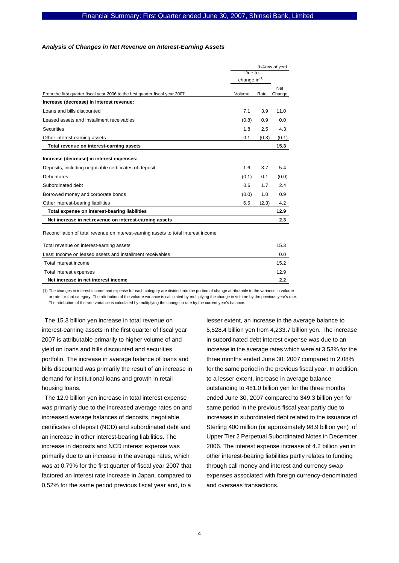#### *Analysis of Changes in Net Revenue on Interest-Earning Assets*

|                                                                                     | (billions of yen)        |       |                      |
|-------------------------------------------------------------------------------------|--------------------------|-------|----------------------|
|                                                                                     | Due to                   |       |                      |
|                                                                                     | change in <sup>(1)</sup> |       |                      |
| From the first quarter fiscal year 2006 to the first quarter fiscal year 2007       | Volume                   | Rate  | <b>Net</b><br>Change |
| Increase (decrease) in interest revenue:                                            |                          |       |                      |
| Loans and bills discounted                                                          | 7.1                      | 3.9   | 11.0                 |
| Leased assets and installment receivables                                           | (0.8)                    | 0.9   | 0.0                  |
| <b>Securities</b>                                                                   | 1.8                      | 2.5   | 4.3                  |
| Other interest-earning assets                                                       | 0.1                      | (0.3) | (0.1)                |
| Total revenue on interest-earning assets                                            |                          |       | 15.3                 |
| Increase (decrease) in interest expenses:                                           |                          |       |                      |
| Deposits, including negotiable certificates of deposit                              | 1.6                      | 3.7   | 5.4                  |
| <b>Debentures</b>                                                                   | (0.1)                    | 0.1   | (0.0)                |
| Subordinated debt                                                                   | 0.6                      | 1.7   | 2.4                  |
| Borrowed money and corporate bonds                                                  | (0.0)                    | 1.0   | 0.9                  |
| Other interest-bearing liabilities                                                  | 6.5                      | (2.3) | 4.2                  |
| Total expense on interest-bearing liabilities                                       |                          |       | 12.9                 |
| Net increase in net revenue on interest-earning assets                              |                          |       | 2.3                  |
| Reconciliation of total revenue on interest-earning assets to total interest income |                          |       |                      |
| Total revenue on interest-earning assets                                            |                          |       | 15.3                 |
| Less: Income on leased assets and installment receivables                           |                          |       | 0.0                  |

| Net increase in net interest income                       | っっ   |
|-----------------------------------------------------------|------|
| Total interest expenses                                   | 12.9 |
| Total interest income                                     | 15.2 |
| Less: Income on leased assets and installment receivables |      |

(1) The changes in interest income and expense for each category are divided into the portion of change attributable to the variance in volume or rate for that category. The attribution of the volume variance is calculated by multiplying the change in volume by the previous year's rate. The attribution of the rate variance is calculated by multiplying the change in rate by the current year's balance

The 15.3 billion yen increase in total revenue on interest-earning assets in the first quarter of fiscal year 2007 is attributable primarily to higher volume of and yield on loans and bills discounted and securities portfolio. The increase in average balance of loans and bills discounted was primarily the result of an increase in demand for institutional loans and growth in retail housing loans.

The 12.9 billion yen increase in total interest expense was primarily due to the increased average rates on and increased average balances of deposits, negotiable certificates of deposit (NCD) and subordinated debt and an increase in other interest-bearing liabilities. The increase in deposits and NCD interest expense was primarily due to an increase in the average rates, which was at 0.79% for the first quarter of fiscal year 2007 that factored an interest rate increase in Japan, compared to 0.52% for the same period previous fiscal year and, to a

lesser extent, an increase in the average balance to 5,528.4 billion yen from 4,233.7 billion yen. The increase in subordinated debt interest expense was due to an increase in the average rates which were at 3.53% for the three months ended June 30, 2007 compared to 2.08% for the same period in the previous fiscal year. In addition, to a lesser extent, increase in average balance outstanding to 481.0 billion yen for the three months ended June 30, 2007 compared to 349.3 billion yen for same period in the previous fiscal year partly due to increases in subordinated debt related to the issuance of Sterling 400 million (or approximately 98.9 billion yen) of Upper Tier 2 Perpetual Subordinated Notes in December 2006. The interest expense increase of 4.2 billion yen in other interest-bearing liabilities partly relates to funding through call money and interest and currency swap expenses associated with foreign currency-denominated and overseas transactions.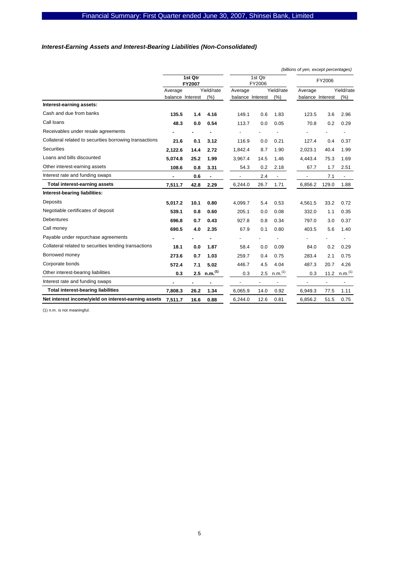# *Interest-Earning Assets and Interest-Bearing Liabilities (Non-Consolidated)*

|                                                         |                  |                          |                           |                   |                          |                          | (billions of yen, except percentages) |               |                          |
|---------------------------------------------------------|------------------|--------------------------|---------------------------|-------------------|--------------------------|--------------------------|---------------------------------------|---------------|--------------------------|
|                                                         |                  | 1st Qtr<br><b>FY2007</b> |                           | 1st Qtr<br>FY2006 |                          |                          |                                       | FY2006        |                          |
|                                                         | Average          |                          | Yield/rate                | Average           |                          | Yield/rate               | Average                               |               | Yield/rate               |
|                                                         | balance Interest |                          | (% )                      | balance Interest  |                          | (%)                      | balance Interest                      |               | (% )                     |
| Interest-earning assets:                                |                  |                          |                           |                   |                          |                          |                                       |               |                          |
| Cash and due from banks                                 | 135.5            | 1.4                      | 4.16                      | 149.1             | 0.6                      | 1.83                     | 123.5                                 | 3.6           | 2.96                     |
| Call loans                                              | 48.3             | 0.0                      | 0.54                      | 113.7             | 0.0                      | 0.05                     | 70.8                                  | 0.2           | 0.29                     |
| Receivables under resale agreements                     |                  |                          |                           |                   |                          |                          |                                       |               |                          |
| Collateral related to securities borrowing transactions | 21.6             | 0.1                      | 3.12                      | 116.9             | 0.0                      | 0.21                     | 127.4                                 | 0.4           | 0.37                     |
| <b>Securities</b>                                       | 2.122.6          | 14.4                     | 2.72                      | 1.842.4           | 8.7                      | 1.90                     | 2.023.1                               | 40.4          | 1.99                     |
| Loans and bills discounted                              | 5,074.8          | 25.2                     | 1.99                      | 3,967.4           | 14.5                     | 1.46                     | 4,443.4                               | 75.3          | 1.69                     |
| Other interest-earning assets                           | 108.6            | 0.8                      | 3.31                      | 54.3              | 0.2                      | 2.18                     | 67.7                                  | 1.7           | 2.51                     |
| Interest rate and funding swaps                         | $\blacksquare$   | 0.6                      | $\blacksquare$            | $\blacksquare$    | 2.4                      | $\overline{\phantom{a}}$ | ÷,                                    | 7.1           | $\overline{\phantom{a}}$ |
| Total interest-earning assets                           | 7,511.7          | 42.8                     | 2.29                      | 6,244.0           | 26.7                     | 1.71                     | 6,856.2                               | 129.0         | 1.88                     |
| Interest-bearing liabilities:                           |                  |                          |                           |                   |                          |                          |                                       |               |                          |
| Deposits                                                | 5,017.2          | 10.1                     | 0.80                      | 4,099.7           | 5.4                      | 0.53                     | 4,561.5                               | 33.2          | 0.72                     |
| Negotiable certificates of deposit                      | 539.1            | 0.8                      | 0.60                      | 205.1             | 0.0                      | 0.08                     | 332.0                                 | 1.1           | 0.35                     |
| <b>Debentures</b>                                       | 696.8            | 0.7                      | 0.43                      | 927.8             | 0.8                      | 0.34                     | 797.0                                 | 3.0           | 0.37                     |
| Call money                                              | 690.5            | 4.0                      | 2.35                      | 67.9              | 0.1                      | 0.80                     | 403.5                                 | 5.6           | 1.40                     |
| Payable under repurchase agreements                     |                  |                          |                           |                   |                          |                          |                                       |               |                          |
| Collateral related to securities lending transactions   | 18.1             | 0.0                      | 1.87                      | 58.4              | 0.0                      | 0.09                     | 84.0                                  | 0.2           | 0.29                     |
| Borrowed money                                          | 273.6            | 0.7                      | 1.03                      | 259.7             | 0.4                      | 0.75                     | 283.4                                 | 2.1           | 0.75                     |
| Corporate bonds                                         | 572.4            | 7.1                      | 5.02                      | 446.7             | 4.5                      | 4.04                     | 487.3                                 | 20.7          | 4.26                     |
| Other interest-bearing liabilities                      | 0.3              |                          | $2.5$ n.m. <sup>(1)</sup> | 0.3               | 2.5                      | n.m. <sup>(1)</sup>      | 0.3                                   | 11.2          | n.m. <sup>(1)</sup>      |
| Interest rate and funding swaps                         |                  | $\blacksquare$           |                           |                   | $\overline{\phantom{0}}$ |                          | ÷,                                    | $\frac{1}{2}$ | $\overline{\phantom{a}}$ |
| <b>Total interest-bearing liabilities</b>               | 7,808.3          | 26.2                     | 1.34                      | 6,065.9           | 14.0                     | 0.92                     | 6,949.3                               | 77.5          | 1.11                     |
| Net interest income/yield on interest-earning assets    | 7,511.7          | 16.6                     | 0.88                      | 6,244.0           | 12.6                     | 0.81                     | 6,856.2                               | 51.5          | 0.75                     |

(1) n.m. is not meaningful.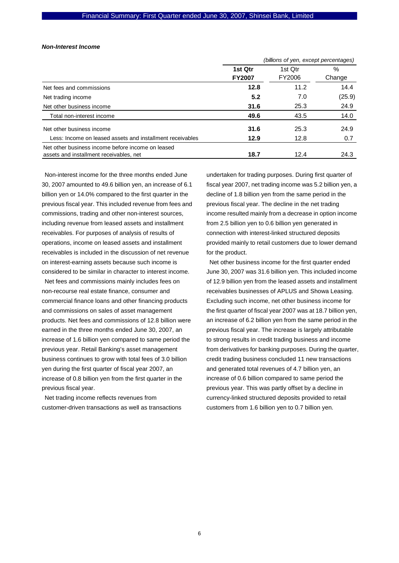#### *Non-Interest Income*

|                                                           | (billions of yen, except percentages) |         |        |  |
|-----------------------------------------------------------|---------------------------------------|---------|--------|--|
|                                                           | 1st Qtr                               | 1st Otr | $\%$   |  |
|                                                           | <b>FY2007</b>                         | FY2006  | Change |  |
| Net fees and commissions                                  | 12.8                                  | 11.2    | 14.4   |  |
| Net trading income                                        | 5.2                                   | 7.0     | (25.9) |  |
| Net other business income                                 | 31.6                                  | 25.3    | 24.9   |  |
| Total non-interest income                                 | 49.6                                  | 43.5    | 14.0   |  |
| Net other business income                                 | 31.6                                  | 25.3    | 24.9   |  |
| Less: Income on leased assets and installment receivables | 12.9                                  | 12.8    | 0.7    |  |
| Net other business income before income on leased         |                                       |         |        |  |
| assets and installment receivables, net                   | 18.7                                  | 12.4    | 24.3   |  |

Non-interest income for the three months ended June 30, 2007 amounted to 49.6 billion yen, an increase of 6.1 billion yen or 14.0% compared to the first quarter in the previous fiscal year. This included revenue from fees and commissions, trading and other non-interest sources, including revenue from leased assets and installment receivables. For purposes of analysis of results of operations, income on leased assets and installment receivables is included in the discussion of net revenue on interest-earning assets because such income is considered to be similar in character to interest income.

Net fees and commissions mainly includes fees on non-recourse real estate finance, consumer and commercial finance loans and other financing products and commissions on sales of asset management products. Net fees and commissions of 12.8 billion were earned in the three months ended June 30, 2007, an increase of 1.6 billion yen compared to same period the previous year. Retail Banking's asset management business continues to grow with total fees of 3.0 billion yen during the first quarter of fiscal year 2007, an increase of 0.8 billion yen from the first quarter in the previous fiscal year.

Net trading income reflects revenues from customer-driven transactions as well as transactions undertaken for trading purposes. During first quarter of fiscal year 2007, net trading income was 5.2 billion yen, a decline of 1.8 billion yen from the same period in the previous fiscal year. The decline in the net trading income resulted mainly from a decrease in option income from 2.5 billion yen to 0.6 billion yen generated in connection with interest-linked structured deposits provided mainly to retail customers due to lower demand for the product.

Net other business income for the first quarter ended June 30, 2007 was 31.6 billion yen. This included income of 12.9 billion yen from the leased assets and installment receivables businesses of APLUS and Showa Leasing. Excluding such income, net other business income for the first quarter of fiscal year 2007 was at 18.7 billion yen, an increase of 6.2 billion yen from the same period in the previous fiscal year. The increase is largely attributable to strong results in credit trading business and income from derivatives for banking purposes. During the quarter, credit trading business concluded 11 new transactions and generated total revenues of 4.7 billion yen, an increase of 0.6 billion compared to same period the previous year. This was partly offset by a decline in currency-linked structured deposits provided to retail customers from 1.6 billion yen to 0.7 billion yen.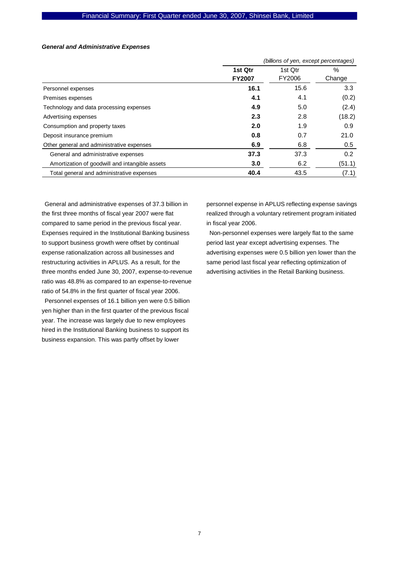### *General and Administrative Expenses*

|                                                | (billions of yen, except percentages) |         |        |  |
|------------------------------------------------|---------------------------------------|---------|--------|--|
|                                                | 1st Qtr                               | 1st Qtr | $\%$   |  |
|                                                | <b>FY2007</b>                         | FY2006  | Change |  |
| Personnel expenses                             | 16.1                                  | 15.6    | 3.3    |  |
| Premises expenses                              | 4.1                                   | 4.1     | (0.2)  |  |
| Technology and data processing expenses        | 4.9                                   | 5.0     | (2.4)  |  |
| Advertising expenses                           | 2.3                                   | 2.8     | (18.2) |  |
| Consumption and property taxes                 | 2.0                                   | 1.9     | 0.9    |  |
| Deposit insurance premium                      | 0.8                                   | 0.7     | 21.0   |  |
| Other general and administrative expenses      | 6.9                                   | 6.8     | 0.5    |  |
| General and administrative expenses            | 37.3                                  | 37.3    | 0.2    |  |
| Amortization of goodwill and intangible assets | 3.0                                   | 6.2     | (51.1) |  |
| Total general and administrative expenses      | 40.4                                  | 43.5    | (7.1)  |  |

General and administrative expenses of 37.3 billion in the first three months of fiscal year 2007 were flat compared to same period in the previous fiscal year. Expenses required in the Institutional Banking business to support business growth were offset by continual expense rationalization across all businesses and restructuring activities in APLUS. As a result, for the three months ended June 30, 2007, expense-to-revenue ratio was 48.8% as compared to an expense-to-revenue ratio of 54.8% in the first quarter of fiscal year 2006.

Personnel expenses of 16.1 billion yen were 0.5 billion yen higher than in the first quarter of the previous fiscal year. The increase was largely due to new employees hired in the Institutional Banking business to support its business expansion. This was partly offset by lower

personnel expense in APLUS reflecting expense savings realized through a voluntary retirement program initiated in fiscal year 2006.

Non-personnel expenses were largely flat to the same period last year except advertising expenses. The advertising expenses were 0.5 billion yen lower than the same period last fiscal year reflecting optimization of advertising activities in the Retail Banking business.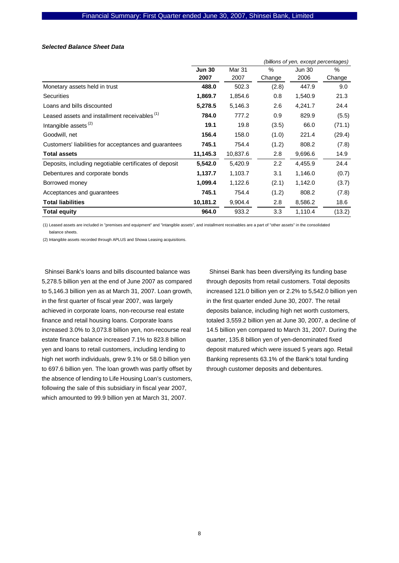#### *Selected Balance Sheet Data*

|                                                        | (billions of yen, except percentages) |               |        |               |        |  |  |
|--------------------------------------------------------|---------------------------------------|---------------|--------|---------------|--------|--|--|
|                                                        | <b>Jun 30</b>                         | <b>Mar 31</b> | $\%$   | <b>Jun 30</b> | $\%$   |  |  |
|                                                        | 2007                                  | 2007          | Change | 2006          | Change |  |  |
| Monetary assets held in trust                          | 488.0                                 | 502.3         | (2.8)  | 447.9         | 9.0    |  |  |
| <b>Securities</b>                                      | 1,869.7                               | 1,854.6       | 0.8    | 1,540.9       | 21.3   |  |  |
| Loans and bills discounted                             | 5,278.5                               | 5,146.3       | 2.6    | 4,241.7       | 24.4   |  |  |
| Leased assets and installment receivables (1)          | 784.0                                 | 777.2         | 0.9    | 829.9         | (5.5)  |  |  |
| Intangible assets <sup>(2)</sup>                       | 19.1                                  | 19.8          | (3.5)  | 66.0          | (71.1) |  |  |
| Goodwill, net                                          | 156.4                                 | 158.0         | (1.0)  | 221.4         | (29.4) |  |  |
| Customers' liabilities for acceptances and guarantees  | 745.1                                 | 754.4         | (1.2)  | 808.2         | (7.8)  |  |  |
| <b>Total assets</b>                                    | 11,145.3                              | 10,837.6      | 2.8    | 9,696.6       | 14.9   |  |  |
| Deposits, including negotiable certificates of deposit | 5,542.0                               | 5,420.9       | 2.2    | 4,455.9       | 24.4   |  |  |
| Debentures and corporate bonds                         | 1,137.7                               | 1,103.7       | 3.1    | 1,146.0       | (0.7)  |  |  |
| Borrowed money                                         | 1,099.4                               | 1,122.6       | (2.1)  | 1,142.0       | (3.7)  |  |  |
| Acceptances and guarantees                             | 745.1                                 | 754.4         | (1.2)  | 808.2         | (7.8)  |  |  |
| <b>Total liabilities</b>                               | 10,181.2                              | 9,904.4       | 2.8    | 8,586.2       | 18.6   |  |  |
| Total equity                                           | 964.0                                 | 933.2         | 3.3    | 1,110.4       | (13.2) |  |  |

(1) Leased assets are included in "premises and equipment" and "intangible assets", and installment receivables are a part of "other assets" in the consolidated balance sheets.

(2) Intangible assets recorded through APLUS and Showa Leasing acquisitions.

Shinsei Bank's loans and bills discounted balance was 5,278.5 billion yen at the end of June 2007 as compared to 5,146.3 billion yen as at March 31, 2007. Loan growth, in the first quarter of fiscal year 2007, was largely achieved in corporate loans, non-recourse real estate finance and retail housing loans. Corporate loans increased 3.0% to 3,073.8 billion yen, non-recourse real estate finance balance increased 7.1% to 823.8 billion yen and loans to retail customers, including lending to high net worth individuals, grew 9.1% or 58.0 billion yen to 697.6 billion yen. The loan growth was partly offset by the absence of lending to Life Housing Loan's customers, following the sale of this subsidiary in fiscal year 2007, which amounted to 99.9 billion yen at March 31, 2007.

Shinsei Bank has been diversifying its funding base through deposits from retail customers. Total deposits increased 121.0 billion yen or 2.2% to 5,542.0 billion yen in the first quarter ended June 30, 2007. The retail deposits balance, including high net worth customers, totaled 3,559.2 billion yen at June 30, 2007, a decline of 14.5 billion yen compared to March 31, 2007. During the quarter, 135.8 billion yen of yen-denominated fixed deposit matured which were issued 5 years ago. Retail Banking represents 63.1% of the Bank's total funding through customer deposits and debentures.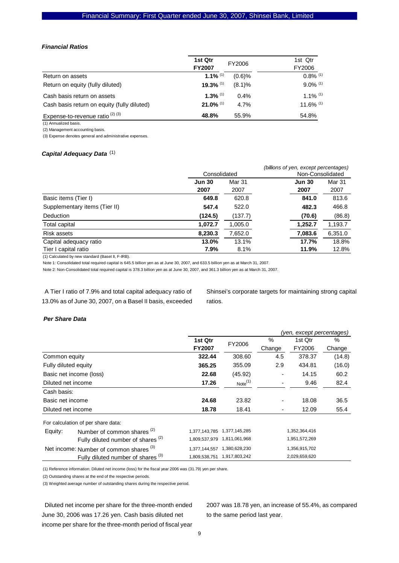#### *Financial Ratios*

|                                             | 1st Qtr<br><b>FY2007</b> | FY2006 | 1st Qtr<br>FY2006      |
|---------------------------------------------|--------------------------|--------|------------------------|
| Return on assets                            | 1.1% $(1)$               | (0.6)% | $0.8\%$ <sup>(1)</sup> |
| Return on equity (fully diluted)            | $19.3\%$ <sup>(1)</sup>  | (8.1)% | $9.0\%$ <sup>(1)</sup> |
| Cash basis return on assets                 | 1.3% $(1)$               | 0.4%   | $1.1\%$ <sup>(1)</sup> |
| Cash basis return on equity (fully diluted) | $21.0\%$ <sup>(1)</sup>  | 4.7%   | 11.6% (1)              |
| Expense-to-revenue ratio $(2)$ $(3)$        | 48.8%                    | 55.9%  | 54.8%                  |

(1) Annualized basis.

(2) Management accounting basis.

(3) Expense denotes general and administrative expenses.

## *Capital Adequacy Data*  (1)

|                               | Consolidated  |         | (billions of yen, except percentages)<br>Non-Consolidated |         |
|-------------------------------|---------------|---------|-----------------------------------------------------------|---------|
|                               | <b>Jun 30</b> | Mar 31  | <b>Jun 30</b>                                             | Mar 31  |
|                               | 2007          | 2007    | 2007                                                      | 2007    |
| Basic items (Tier I)          | 649.8         | 620.8   | 841.0                                                     | 813.6   |
| Supplementary items (Tier II) | 547.4         | 522.0   | 482.3                                                     | 466.8   |
| Deduction                     | (124.5)       | (137.7) | (70.6)                                                    | (86.8)  |
| Total capital                 | 1,072.7       | 1,005.0 | 1,252.7                                                   | 1,193.7 |
| <b>Risk assets</b>            | 8,230.3       | 7,652.0 | 7,083.6                                                   | 6,351.0 |
| Capital adequacy ratio        | 13.0%         | 13.1%   | 17.7%                                                     | 18.8%   |
| Tier I capital ratio          | 7.9%          | 8.1%    | 11.9%                                                     | 12.8%   |
|                               |               |         |                                                           |         |

(1) Calculated by new standard (BaseI II, F-IRB).

Note 1: Consolidated total required capital is 645.5 billion yen as at June 30, 2007, and 633.5 billion yen as at March 31, 2007.

Note 2: Non-Consolidated total required capital is 378.3 billion yen as at June 30, 2007, and 361.3 billion yen as at March 31, 2007.

A Tier I ratio of 7.9% and total capital adequacy ratio of 13.0% as of June 30, 2007, on a Basel II basis, exceeded Shinsei's corporate targets for maintaining strong capital ratios.

### *Per Share Data*

|                      |                                                    |                             | (yen, except percentages) |        |               |        |  |
|----------------------|----------------------------------------------------|-----------------------------|---------------------------|--------|---------------|--------|--|
|                      |                                                    | 1st Qtr                     | FY2006                    | %      | 1st Qtr       | %      |  |
|                      |                                                    | <b>FY2007</b>               |                           | Change | FY2006        | Change |  |
| Common equity        |                                                    | 322.44                      | 308.60                    | 4.5    | 378.37        | (14.8) |  |
| Fully diluted equity |                                                    | 365.25                      | 355.09                    | 2.9    | 434.81        | (16.0) |  |
|                      | Basic net income (loss)                            | 22.68                       | (45.92)                   | ٠      | 14.15         | 60.2   |  |
| Diluted net income   |                                                    | 17.26                       | Note <sup>(1)</sup>       | ۰      | 9.46          | 82.4   |  |
| Cash basis:          |                                                    |                             |                           |        |               |        |  |
| Basic net income     |                                                    | 24.68                       | 23.82                     | ۰      | 18.08         | 36.5   |  |
| Diluted net income   |                                                    | 18.78                       | 18.41                     | ٠      | 12.09         | 55.4   |  |
|                      | For calculation of per share data:                 |                             |                           |        |               |        |  |
| Equity:              | Number of common shares <sup>(2)</sup>             | 1,377,143,785               | 1,377,145,285             |        | 1,352,364,416 |        |  |
|                      | Fully diluted number of shares <sup>(2)</sup>      | 1,809,537,979 1,811,061,968 |                           |        | 1,951,572,269 |        |  |
|                      | Net income: Number of common shares <sup>(3)</sup> | 1,377,144,557               | 1,380,628,230             |        | 1,356,915,702 |        |  |
|                      | Fully diluted number of shares <sup>(3)</sup>      | 1,809,538,751 1,917,803,242 |                           |        | 2,029,659,620 |        |  |

(1) Reference information: Diluted net income (loss) for the fiscal year 2006 was (31.79) yen per share.

(2) Outstanding shares at the end of the respective periods.

(3) Weighted average number of outstanding shares during the respective period.

Diluted net income per share for the three-month ended June 30, 2006 was 17.26 yen. Cash basis diluted net income per share for the three-month period of fiscal year 2007 was 18.78 yen, an increase of 55.4%, as compared to the same period last year.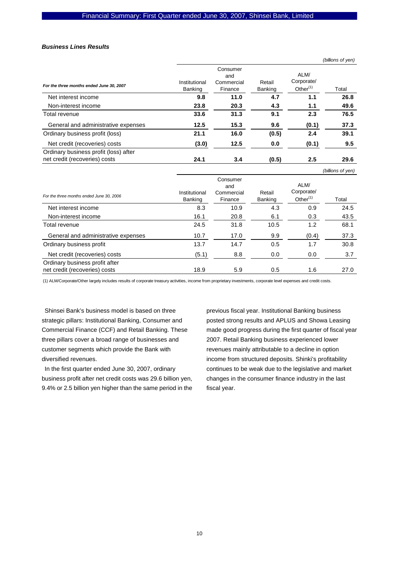#### *Business Lines Results*

|                                                                        |                          |                                          |                   |                                   | (billions of yen) |
|------------------------------------------------------------------------|--------------------------|------------------------------------------|-------------------|-----------------------------------|-------------------|
| For the three months ended June 30, 2007                               | Institutional<br>Banking | Consumer<br>and<br>Commercial<br>Finance | Retail<br>Banking | ALM/<br>Corporate/<br>Other $(1)$ | Total             |
| Net interest income                                                    | 9.8                      | 11.0                                     | 4.7               | 1.1                               | 26.8              |
| Non-interest income                                                    | 23.8                     | 20.3                                     | 4.3               | 1.1                               | 49.6              |
| Total revenue                                                          | 33.6                     | 31.3                                     | 9.1               | 2.3                               | 76.5              |
| General and administrative expenses                                    | 12.5                     | 15.3                                     | 9.6               | (0.1)                             | 37.3              |
| Ordinary business profit (loss)                                        | 21.1                     | 16.0                                     | (0.5)             | 2.4                               | 39.1              |
| Net credit (recoveries) costs                                          | (3.0)                    | 12.5                                     | 0.0               | (0.1)                             | 9.5               |
| Ordinary business profit (loss) after<br>net credit (recoveries) costs | 24.1                     | 3.4                                      | (0.5)             | $2.5\,$                           | 29.6              |

|                                                                 |                          |                                          |                          |                                   | (billions of yen) |
|-----------------------------------------------------------------|--------------------------|------------------------------------------|--------------------------|-----------------------------------|-------------------|
| For the three months ended June 30, 2006                        | Institutional<br>Banking | Consumer<br>and<br>Commercial<br>Finance | Retail<br><b>Banking</b> | ALM/<br>Corporate/<br>Other $(1)$ | Total             |
| Net interest income                                             | 8.3                      | 10.9                                     | 4.3                      | 0.9                               | 24.5              |
| Non-interest income                                             | 16.1                     | 20.8                                     | 6.1                      | 0.3                               | 43.5              |
| Total revenue                                                   | 24.5                     | 31.8                                     | 10.5                     | 1.2                               | 68.1              |
| General and administrative expenses                             | 10.7                     | 17.0                                     | 9.9                      | (0.4)                             | 37.3              |
| Ordinary business profit                                        | 13.7                     | 14.7                                     | 0.5                      | 1.7                               | 30.8              |
| Net credit (recoveries) costs                                   | (5.1)                    | 8.8                                      | 0.0                      | 0.0                               | 3.7               |
| Ordinary business profit after<br>net credit (recoveries) costs | 18.9                     | 5.9                                      | 0.5                      | 1.6                               | 27.0              |

(1) ALM/Corporate/Other largely includes results of corporate treasury activities, income from proprietary investments, corporate level expenses and credit costs.

Shinsei Bank's business model is based on three strategic pillars: Institutional Banking, Consumer and Commercial Finance (CCF) and Retail Banking. These three pillars cover a broad range of businesses and customer segments which provide the Bank with diversified revenues.

In the first quarter ended June 30, 2007, ordinary business profit after net credit costs was 29.6 billion yen, 9.4% or 2.5 billion yen higher than the same period in the previous fiscal year. Institutional Banking business posted strong results and APLUS and Showa Leasing made good progress during the first quarter of fiscal year 2007. Retail Banking business experienced lower revenues mainly attributable to a decline in option income from structured deposits. Shinki's profitability continues to be weak due to the legislative and market changes in the consumer finance industry in the last fiscal year.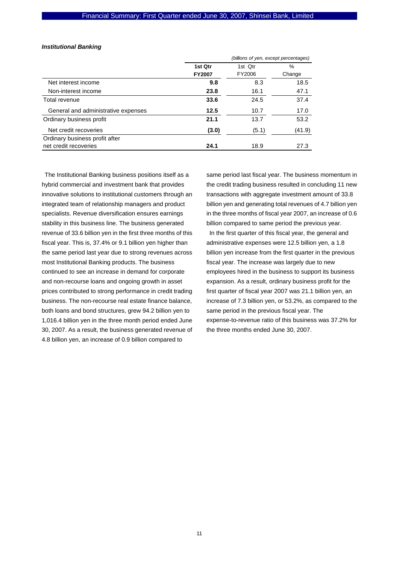#### *Institutional Banking*

|                                     | (billions of yen, except percentages) |         |        |  |
|-------------------------------------|---------------------------------------|---------|--------|--|
|                                     | 1st Qtr                               | 1st Qtr | %      |  |
|                                     | <b>FY2007</b>                         | FY2006  | Change |  |
| Net interest income                 | 9.8                                   | 8.3     | 18.5   |  |
| Non-interest income                 | 23.8                                  | 16.1    | 47.1   |  |
| Total revenue                       | 33.6                                  | 24.5    | 37.4   |  |
| General and administrative expenses | 12.5                                  | 10.7    | 17.0   |  |
| Ordinary business profit            | 21.1                                  | 13.7    | 53.2   |  |
| Net credit recoveries               | (3.0)                                 | (5.1)   | (41.9) |  |
| Ordinary business profit after      |                                       |         |        |  |
| net credit recoveries               | 24.1                                  | 18.9    | 27.3   |  |

The Institutional Banking business positions itself as a hybrid commercial and investment bank that provides innovative solutions to institutional customers through an integrated team of relationship managers and product specialists. Revenue diversification ensures earnings stability in this business line. The business generated revenue of 33.6 billion yen in the first three months of this fiscal year. This is, 37.4% or 9.1 billion yen higher than the same period last year due to strong revenues across most Institutional Banking products. The business continued to see an increase in demand for corporate and non-recourse loans and ongoing growth in asset prices contributed to strong performance in credit trading business. The non-recourse real estate finance balance, both loans and bond structures, grew 94.2 billion yen to 1,016.4 billion yen in the three month period ended June 30, 2007. As a result, the business generated revenue of 4.8 billion yen, an increase of 0.9 billion compared to

same period last fiscal year. The business momentum in the credit trading business resulted in concluding 11 new transactions with aggregate investment amount of 33.8 billion yen and generating total revenues of 4.7 billion yen in the three months of fiscal year 2007, an increase of 0.6 billion compared to same period the previous year. In the first quarter of this fiscal year, the general and administrative expenses were 12.5 billion yen, a 1.8 billion yen increase from the first quarter in the previous fiscal year. The increase was largely due to new employees hired in the business to support its business expansion. As a result, ordinary business profit for the first quarter of fiscal year 2007 was 21.1 billion yen, an increase of 7.3 billion yen, or 53.2%, as compared to the same period in the previous fiscal year. The expense-to-revenue ratio of this business was 37.2% for the three months ended June 30, 2007.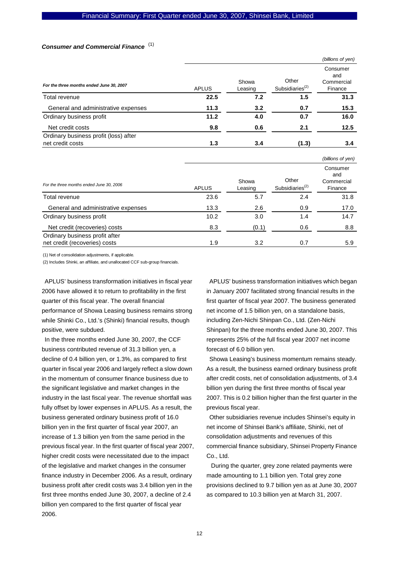# *Consumer and Commercial Finance*  (1)

|                                          |              |                  |                                      | (billions of yen)                        |
|------------------------------------------|--------------|------------------|--------------------------------------|------------------------------------------|
| For the three months ended June 30, 2007 | <b>APLUS</b> | Showa<br>Leasing | Other<br>Subsidiaries <sup>(2)</sup> | Consumer<br>and<br>Commercial<br>Finance |
| Total revenue                            | 22.5         | 7.2              | 1.5                                  | 31.3                                     |
| General and administrative expenses      | 11.3         | 3.2              | 0.7                                  | 15.3                                     |
| Ordinary business profit                 | 11.2         | 4.0              | 0.7                                  | 16.0                                     |
| Net credit costs                         | 9.8          | 0.6              | 2.1                                  | 12.5                                     |
| Ordinary business profit (loss) after    |              |                  |                                      |                                          |
| net credit costs                         | 1.3          | 3.4              | (1.3)                                | 3.4                                      |
|                                          |              |                  |                                      | (billions of yen)                        |
|                                          |              | Showa            | Other                                | Consumer<br>and<br>Commercial            |

| For the three months ended June 30, 2006 | <b>APLUS</b> | Showa<br>Leasing | ∪tner<br>Subsidiaries <sup>(2)</sup> | Commercial<br>Finance |
|------------------------------------------|--------------|------------------|--------------------------------------|-----------------------|
| Total revenue                            | 23.6         | 5.7              | 2.4                                  | 31.8                  |
| General and administrative expenses      | 13.3         | 2.6              | 0.9                                  | 17.0                  |
| Ordinary business profit                 | 10.2         | 3.0              | 1.4                                  | 14.7                  |
| Net credit (recoveries) costs            | 8.3          | (0.1)            | 0.6                                  | 8.8                   |
| Ordinary business profit after           |              |                  |                                      |                       |
| net credit (recoveries) costs            | 1.9          | 3.2              | 0.7                                  | 5.9                   |

(1) Net of consolidation adjustments, if applicable.

(2) Includes Shinki, an affiliate, and unallocated CCF sub-group financials.

APLUS' business transformation initiatives in fiscal year 2006 have allowed it to return to profitability in the first quarter of this fiscal year. The overall financial performance of Showa Leasing business remains strong while Shinki Co., Ltd.'s (Shinki) financial results, though positive, were subdued.

In the three months ended June 30, 2007, the CCF business contributed revenue of 31.3 billion yen, a decline of 0.4 billion yen, or 1.3%, as compared to first quarter in fiscal year 2006 and largely reflect a slow down in the momentum of consumer finance business due to the significant legislative and market changes in the industry in the last fiscal year. The revenue shortfall was fully offset by lower expenses in APLUS. As a result, the business generated ordinary business profit of 16.0 billion yen in the first quarter of fiscal year 2007, an increase of 1.3 billion yen from the same period in the previous fiscal year. In the first quarter of fiscal year 2007, higher credit costs were necessitated due to the impact of the legislative and market changes in the consumer finance industry in December 2006. As a result, ordinary business profit after credit costs was 3.4 billion yen in the first three months ended June 30, 2007, a decline of 2.4 billion yen compared to the first quarter of fiscal year 2006.

APLUS' business transformation initiatives which began in January 2007 facilitated strong financial results in the first quarter of fiscal year 2007. The business generated net income of 1.5 billion yen, on a standalone basis, including Zen-Nichi Shinpan Co., Ltd. (Zen-Nichi Shinpan) for the three months ended June 30, 2007. This represents 25% of the full fiscal year 2007 net income forecast of 6.0 billion yen.

Showa Leasing's business momentum remains steady. As a result, the business earned ordinary business profit after credit costs, net of consolidation adjustments, of 3.4 billion yen during the first three months of fiscal year 2007. This is 0.2 billion higher than the first quarter in the previous fiscal year.

Other subsidiaries revenue includes Shinsei's equity in net income of Shinsei Bank's affiliate, Shinki, net of consolidation adjustments and revenues of this commercial finance subsidiary, Shinsei Property Finance Co., Ltd.

 During the quarter, grey zone related payments were made amounting to 1.1 billion yen. Total grey zone provisions declined to 9.7 billion yen as at June 30, 2007 as compared to 10.3 billion yen at March 31, 2007.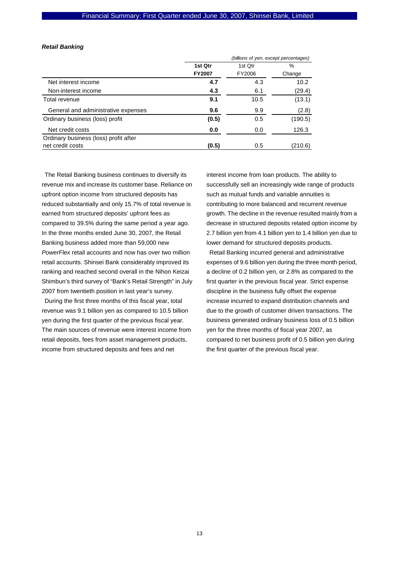### *Retail Banking*

|                                       | (billions of yen, except percentages) |         |               |  |
|---------------------------------------|---------------------------------------|---------|---------------|--|
|                                       | 1st Qtr                               | 1st Qtr | $\frac{0}{0}$ |  |
|                                       | <b>FY2007</b>                         | FY2006  | Change        |  |
| Net interest income                   | 4.7                                   | 4.3     | 10.2          |  |
| Non-interest income                   | 4.3                                   | 6.1     | (29.4)        |  |
| Total revenue                         | 9.1                                   | 10.5    | (13.1)        |  |
| General and administrative expenses   | 9.6                                   | 9.9     | (2.8)         |  |
| Ordinary business (loss) profit       | (0.5)                                 | 0.5     | (190.5)       |  |
| Net credit costs                      | 0.0                                   | 0.0     | 126.3         |  |
| Ordinary business (loss) profit after |                                       |         |               |  |
| net credit costs                      | (0.5)                                 | 0.5     | (210.6)       |  |

The Retail Banking business continues to diversify its revenue mix and increase its customer base. Reliance on upfront option income from structured deposits has reduced substantially and only 15.7% of total revenue is earned from structured deposits' upfront fees as compared to 39.5% during the same period a year ago. In the three months ended June 30, 2007, the Retail Banking business added more than 59,000 new *PowerFlex* retail accounts and now has over two million retail accounts. Shinsei Bank considerably improved its ranking and reached second overall in the Nihon Keizai Shimbun's third survey of "Bank's Retail Strength" in July 2007 from twentieth position in last year's survey.

During the first three months of this fiscal year, total revenue was 9.1 billion yen as compared to 10.5 billion yen during the first quarter of the previous fiscal year. The main sources of revenue were interest income from retail deposits, fees from asset management products, income from structured deposits and fees and net

interest income from loan products. The ability to successfully sell an increasingly wide range of products such as mutual funds and variable annuities is contributing to more balanced and recurrent revenue growth. The decline in the revenue resulted mainly from a decrease in structured deposits related option income by 2.7 billion yen from 4.1 billion yen to 1.4 billion yen due to lower demand for structured deposits products.

Retail Banking incurred general and administrative expenses of 9.6 billion yen during the three month period, a decline of 0.2 billion yen, or 2.8% as compared to the first quarter in the previous fiscal year. Strict expense discipline in the business fully offset the expense increase incurred to expand distribution channels and due to the growth of customer driven transactions. The business generated ordinary business loss of 0.5 billion yen for the three months of fiscal year 2007, as compared to net business profit of 0.5 billion yen during the first quarter of the previous fiscal year.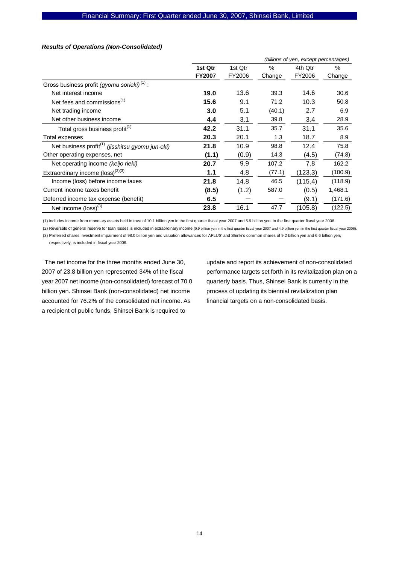### *Results of Operations (Non-Consolidated)*

|                                                              |               |         |        | (billions of yen, except percentages) |         |
|--------------------------------------------------------------|---------------|---------|--------|---------------------------------------|---------|
|                                                              | 1st Qtr       | 1st Qtr | $\%$   | 4th Qtr                               | $\%$    |
|                                                              | <b>FY2007</b> | FY2006  | Change | FY2006                                | Change  |
| Gross business profit (gyomu sorieki) <sup>(1)</sup> :       |               |         |        |                                       |         |
| Net interest income                                          | 19.0          | 13.6    | 39.3   | 14.6                                  | 30.6    |
| Net fees and commissions <sup>(1)</sup>                      | 15.6          | 9.1     | 71.2   | 10.3                                  | 50.8    |
| Net trading income                                           | 3.0           | 5.1     | (40.1) | 2.7                                   | 6.9     |
| Net other business income                                    | 4.4           | 3.1     | 39.8   | 3.4                                   | 28.9    |
| Total gross business profit <sup>(1)</sup>                   | 42.2          | 31.1    | 35.7   | 31.1                                  | 35.6    |
| Total expenses                                               | 20.3          | 20.1    | 1.3    | 18.7                                  | 8.9     |
| Net business profit <sup>(1)</sup> (jisshitsu gyomu jun-eki) | 21.8          | 10.9    | 98.8   | 12.4                                  | 75.8    |
| Other operating expenses, net                                | (1.1)         | (0.9)   | 14.3   | (4.5)                                 | (74.8)  |
| Net operating income (keijo rieki)                           | 20.7          | 9.9     | 107.2  | 7.8                                   | 162.2   |
| Extraordinary income $(logs)$ <sup>(2)(3)</sup>              | 1.1           | 4.8     | (77.1) | (123.3)                               | (100.9) |
| Income (loss) before income taxes                            | 21.8          | 14.8    | 46.5   | (115.4)                               | (118.9) |
| Current income taxes benefit                                 | (8.5)         | (1.2)   | 587.0  | (0.5)                                 | 1,468.1 |
| Deferred income tax expense (benefit)                        | 6.5           |         |        | (9.1)                                 | (171.6) |
| Net income $\left(\text{loss}\right)^{(3)}$                  | 23.8          | 16.1    | 47.7   | (105.8)                               | (122.5) |

(1) Includes income from monetary assets held in trust of 10.1 billion yen in the first quarter fiscal year 2007 and 5.9 billion yen in the first quarter fiscal year 2006. (2) Reversals of general reserve for loan losses is included in extraordinary income (0.9 billion yen in the first quarter fiscal year 2007 and 4.9 billion yen in the first quarter fiscal year 2006).

(3) Preferred shares investment impairment of 98.0 billion yen and valuation allowances for APLUS' and Shinki's common shares of 9.2 billion yen and 6.6 billion yen,

respectively, is included in fiscal year 2006.

The net income for the three months ended June 30, 2007 of 23.8 billion yen represented 34% of the fiscal year 2007 net income (non-consolidated) forecast of 70.0 billion yen. Shinsei Bank (non-consolidated) net income accounted for 76.2% of the consolidated net income. As a recipient of public funds, Shinsei Bank is required to

update and report its achievement of non-consolidated performance targets set forth in its revitalization plan on a quarterly basis. Thus, Shinsei Bank is currently in the process of updating its biennial revitalization plan financial targets on a non-consolidated basis.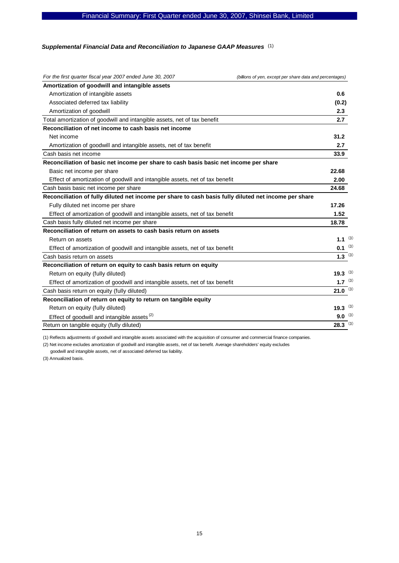# Financial Summary: First Quarter ended June 30, 2007, Shinsei Bank, Limited

#### Supplemental Financial Data and Reconciliation to Japanese GAAP Measures (1)

| For the first quarter fiscal year 2007 ended June 30, 2007                                            | (billions of yen, except per share data and percentages) |
|-------------------------------------------------------------------------------------------------------|----------------------------------------------------------|
| Amortization of goodwill and intangible assets                                                        |                                                          |
| Amortization of intangible assets                                                                     | 0.6                                                      |
| Associated deferred tax liability                                                                     | (0.2)                                                    |
| Amortization of goodwill                                                                              | 2.3                                                      |
| Total amortization of goodwill and intangible assets, net of tax benefit                              | 2.7                                                      |
| Reconciliation of net income to cash basis net income                                                 |                                                          |
| Net income                                                                                            | 31.2                                                     |
| Amortization of goodwill and intangible assets, net of tax benefit                                    | 2.7                                                      |
| Cash basis net income                                                                                 | 33.9                                                     |
| Reconciliation of basic net income per share to cash basis basic net income per share                 |                                                          |
| Basic net income per share                                                                            | 22.68                                                    |
| Effect of amortization of goodwill and intangible assets, net of tax benefit                          | 2.00                                                     |
| Cash basis basic net income per share                                                                 | 24.68                                                    |
| Reconciliation of fully diluted net income per share to cash basis fully diluted net income per share |                                                          |
| Fully diluted net income per share                                                                    | 17.26                                                    |
| Effect of amortization of goodwill and intangible assets, net of tax benefit                          | 1.52                                                     |
| Cash basis fully diluted net income per share                                                         | 18.78                                                    |
| Reconciliation of return on assets to cash basis return on assets                                     |                                                          |
| Return on assets                                                                                      | 1.1 $(3)$                                                |
| Effect of amortization of goodwill and intangible assets, net of tax benefit                          | $0.1^{(3)}$                                              |
| Cash basis return on assets                                                                           | $1.3^{(3)}$                                              |
| Reconciliation of return on equity to cash basis return on equity                                     |                                                          |
| Return on equity (fully diluted)                                                                      | 19.3 $(3)$                                               |
| Effect of amortization of goodwill and intangible assets, net of tax benefit                          | 1.7 $(3)$                                                |
| Cash basis return on equity (fully diluted)                                                           | $21.0^{(3)}$                                             |
| Reconciliation of return on equity to return on tangible equity                                       |                                                          |
| Return on equity (fully diluted)                                                                      | 19.3 $(3)$                                               |
| Effect of goodwill and intangible assets <sup>(2)</sup>                                               | $9.0$ (3)                                                |
| Return on tangible equity (fully diluted)                                                             | $28.3^{(3)}$                                             |

(1) Reflects adjustments of goodwill and intangible assets associated with the acquisition of consumer and commercial finance companies.

(2) Net income excludes amortization of goodwill and intangible assets, net of tax benefit. Average shareholders' equity excludes

goodwill and intangible assets, net of associated deferred tax liability.

(3) Annualized basis.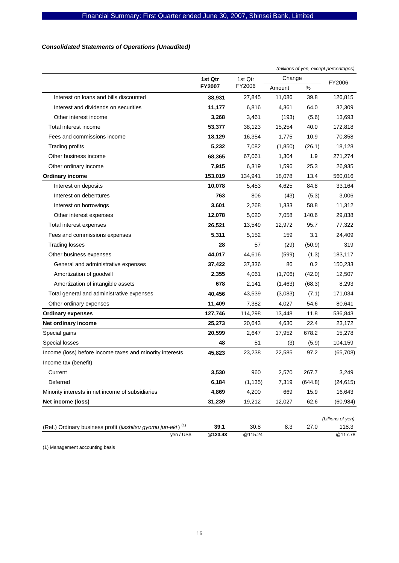# *Consolidated Statements of Operations (Unaudited)*

|                                                                          |               |          |         | (millions of yen, except percentages) |                   |
|--------------------------------------------------------------------------|---------------|----------|---------|---------------------------------------|-------------------|
|                                                                          | 1st Qtr       | 1st Qtr  | Change  |                                       | FY2006            |
|                                                                          | <b>FY2007</b> | FY2006   | Amount  | %                                     |                   |
| Interest on loans and bills discounted                                   | 38,931        | 27,845   | 11,086  | 39.8                                  | 126,815           |
| Interest and dividends on securities                                     | 11,177        | 6,816    | 4,361   | 64.0                                  | 32,309            |
| Other interest income                                                    | 3,268         | 3,461    | (193)   | (5.6)                                 | 13,693            |
| Total interest income                                                    | 53,377        | 38,123   | 15,254  | 40.0                                  | 172,818           |
| Fees and commissions income                                              | 18,129        | 16,354   | 1,775   | 10.9                                  | 70,858            |
| <b>Trading profits</b>                                                   | 5,232         | 7,082    | (1,850) | (26.1)                                | 18,128            |
| Other business income                                                    | 68,365        | 67,061   | 1,304   | 1.9                                   | 271,274           |
| Other ordinary income                                                    | 7,915         | 6,319    | 1,596   | 25.3                                  | 26,935            |
| <b>Ordinary income</b>                                                   | 153,019       | 134,941  | 18,078  | 13.4                                  | 560,016           |
| Interest on deposits                                                     | 10,078        | 5,453    | 4,625   | 84.8                                  | 33,164            |
| Interest on debentures                                                   | 763           | 806      | (43)    | (5.3)                                 | 3,006             |
| Interest on borrowings                                                   | 3,601         | 2,268    | 1,333   | 58.8                                  | 11,312            |
| Other interest expenses                                                  | 12,078        | 5,020    | 7,058   | 140.6                                 | 29,838            |
| Total interest expenses                                                  | 26,521        | 13,549   | 12,972  | 95.7                                  | 77,322            |
| Fees and commissions expenses                                            | 5,311         | 5,152    | 159     | 3.1                                   | 24,409            |
| <b>Trading losses</b>                                                    | 28            | 57       | (29)    | (50.9)                                | 319               |
| Other business expenses                                                  | 44,017        | 44,616   | (599)   | (1.3)                                 | 183,117           |
| General and administrative expenses                                      | 37,422        | 37,336   | 86      | 0.2                                   | 150,233           |
| Amortization of goodwill                                                 | 2,355         | 4,061    | (1,706) | (42.0)                                | 12,507            |
| Amortization of intangible assets                                        | 678           | 2,141    | (1,463) | (68.3)                                | 8,293             |
| Total general and administrative expenses                                | 40,456        | 43,539   | (3,083) | (7.1)                                 | 171,034           |
| Other ordinary expenses                                                  | 11,409        | 7,382    | 4,027   | 54.6                                  | 80,641            |
| <b>Ordinary expenses</b>                                                 | 127,746       | 114,298  | 13,448  | 11.8                                  | 536,843           |
| Net ordinary income                                                      | 25,273        | 20,643   | 4,630   | 22.4                                  | 23,172            |
| Special gains                                                            | 20,599        | 2,647    | 17,952  | 678.2                                 | 15,278            |
| Special losses                                                           | 48            | 51       | (3)     | (5.9)                                 | 104,159           |
| Income (loss) before income taxes and minority interests                 | 45,823        | 23,238   | 22,585  | 97.2                                  | (65, 708)         |
| Income tax (benefit)                                                     |               |          |         |                                       |                   |
| Current                                                                  | 3,530         | 960      | 2,570   | 267.7                                 | 3,249             |
| Deferred                                                                 | 6,184         | (1, 135) | 7,319   | (644.8)                               | (24, 615)         |
| Minority interests in net income of subsidiaries                         | 4,869         | 4,200    | 669     | 15.9                                  | 16,643            |
| Net income (loss)                                                        | 31,239        | 19,212   | 12,027  | 62.6                                  | (60, 984)         |
|                                                                          |               |          |         |                                       | (billions of yen) |
| (Ref.) Ordinary business profit (jisshitsu gyomu jun-eki) <sup>(1)</sup> | 39.1          | 30.8     | 8.3     | 27.0                                  | 118.3             |
| yen / US\$                                                               | @123.43       | @115.24  |         |                                       | @117.78           |

(1) Management accounting basis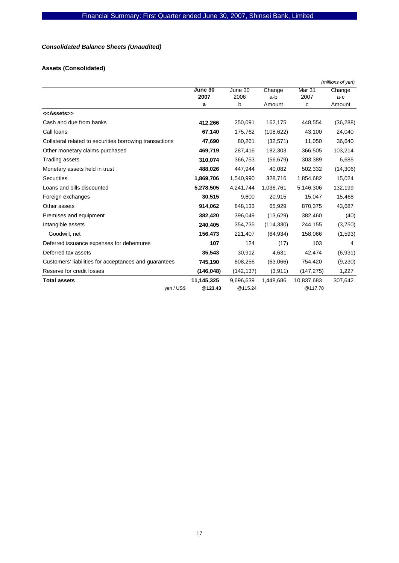# *Consolidated Balance Sheets (Unaudited)*

# **Assets (Consolidated)**

|                                                         |            |            |            |                   | (millions of yen) |
|---------------------------------------------------------|------------|------------|------------|-------------------|-------------------|
|                                                         | June 30    | June 30    | Change     | Mar <sub>31</sub> | Change            |
|                                                         | 2007       | 2006       | a-b        | 2007              | a-c               |
|                                                         | a          | b          | Amount     | c                 | Amount            |
| < <assets>&gt;</assets>                                 |            |            |            |                   |                   |
| Cash and due from banks                                 | 412,266    | 250,091    | 162,175    | 448,554           | (36, 288)         |
| Call loans                                              | 67,140     | 175,762    | (108, 622) | 43,100            | 24,040            |
| Collateral related to securities borrowing transactions | 47,690     | 80,261     | (32, 571)  | 11,050            | 36,640            |
| Other monetary claims purchased                         | 469,719    | 287,416    | 182,303    | 366,505           | 103,214           |
| Trading assets                                          | 310,074    | 366,753    | (56, 679)  | 303,389           | 6,685             |
| Monetary assets held in trust                           | 488,026    | 447,944    | 40,082     | 502,332           | (14, 306)         |
| <b>Securities</b>                                       | 1,869,706  | 1,540,990  | 328,716    | 1,854,682         | 15,024            |
| Loans and bills discounted                              | 5,278,505  | 4,241,744  | 1,036,761  | 5,146,306         | 132,199           |
| Foreign exchanges                                       | 30,515     | 9,600      | 20,915     | 15,047            | 15,468            |
| Other assets                                            | 914,062    | 848,133    | 65,929     | 870,375           | 43,687            |
| Premises and equipment                                  | 382,420    | 396,049    | (13,629)   | 382,460           | (40)              |
| Intangible assets                                       | 240,405    | 354,735    | (114, 330) | 244,155           | (3,750)           |
| Goodwill, net                                           | 156,473    | 221,407    | (64, 934)  | 158,066           | (1,593)           |
| Deferred issuance expenses for debentures               | 107        | 124        | (17)       | 103               | 4                 |
| Deferred tax assets                                     | 35,543     | 30,912     | 4,631      | 42,474            | (6,931)           |
| Customers' liabilities for acceptances and guarantees   | 745,190    | 808,256    | (63,066)   | 754,420           | (9,230)           |
| Reserve for credit losses                               | (146, 048) | (142, 137) | (3,911)    | (147, 275)        | 1,227             |
| <b>Total assets</b>                                     | 11,145,325 | 9,696,639  | 1,448,686  | 10,837,683        | 307,642           |
| yen / US\$                                              | @123.43    | @115.24    |            | @117.78           |                   |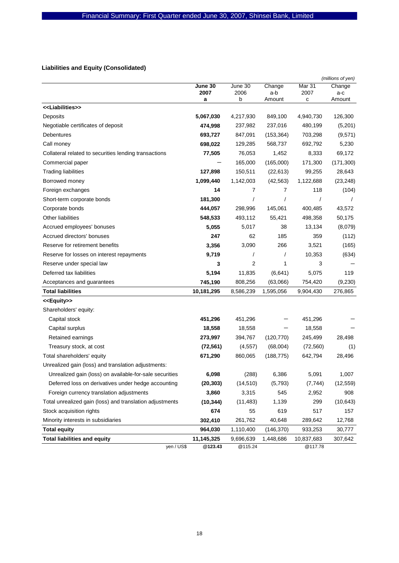# **Liabilities and Equity (Consolidated)**

|                                                          |            |           |               |            | (millions of yen) |
|----------------------------------------------------------|------------|-----------|---------------|------------|-------------------|
|                                                          | June 30    | June 30   | Change        | Mar 31     | Change            |
|                                                          | 2007<br>a  | 2006<br>b | a-b<br>Amount | 2007<br>с  | a-c<br>Amount     |
| < <liabilities>&gt;</liabilities>                        |            |           |               |            |                   |
| Deposits                                                 | 5,067,030  | 4,217,930 | 849,100       | 4,940,730  | 126,300           |
| Negotiable certificates of deposit                       | 474,998    | 237,982   | 237,016       | 480,199    | (5,201)           |
| Debentures                                               | 693,727    | 847,091   | (153, 364)    | 703,298    | (9,571)           |
| Call money                                               | 698,022    | 129,285   | 568,737       | 692,792    | 5,230             |
| Collateral related to securities lending transactions    | 77,505     | 76,053    | 1,452         | 8,333      | 69,172            |
| Commercial paper                                         |            | 165,000   | (165,000)     | 171,300    | (171, 300)        |
| <b>Trading liabilities</b>                               | 127,898    | 150,511   | (22, 613)     | 99,255     | 28,643            |
| Borrowed money                                           | 1,099,440  | 1,142,003 | (42, 563)     | 1,122,688  | (23, 248)         |
| Foreign exchanges                                        | 14         | 7         | 7             | 118        | (104)             |
| Short-term corporate bonds                               | 181,300    | $\prime$  |               |            |                   |
| Corporate bonds                                          | 444,057    | 298,996   | 145,061       | 400,485    | 43,572            |
| <b>Other liabilities</b>                                 | 548,533    | 493,112   | 55,421        | 498,358    | 50,175            |
| Accrued employees' bonuses                               | 5,055      | 5,017     | 38            | 13,134     | (8,079)           |
| Accrued directors' bonuses                               | 247        | 62        | 185           | 359        | (112)             |
| Reserve for retirement benefits                          | 3,356      | 3,090     | 266           | 3,521      | (165)             |
| Reserve for losses on interest repayments                | 9,719      | $\prime$  |               | 10,353     | (634)             |
| Reserve under special law                                | 3          | 2         | 1             | 3          |                   |
| Deferred tax liabilities                                 | 5,194      | 11,835    | (6,641)       | 5,075      | 119               |
| Acceptances and guarantees                               | 745,190    | 808,256   | (63,066)      | 754,420    | (9, 230)          |
| <b>Total liabilities</b>                                 | 10,181,295 | 8,586,239 | 1,595,056     | 9,904,430  | 276,865           |
| < <equity>&gt;</equity>                                  |            |           |               |            |                   |
| Shareholders' equity:                                    |            |           |               |            |                   |
| Capital stock                                            | 451,296    | 451,296   |               | 451,296    |                   |
| Capital surplus                                          | 18,558     | 18,558    |               | 18,558     |                   |
| Retained earnings                                        | 273,997    | 394,767   | (120, 770)    | 245,499    | 28,498            |
| Treasury stock, at cost                                  | (72, 561)  | (4, 557)  | (68,004)      | (72, 560)  | (1)               |
| Total shareholders' equity                               | 671,290    | 860,065   | (188, 775)    | 642,794    | 28,496            |
| Unrealized gain (loss) and translation adjustments:      |            |           |               |            |                   |
| Unrealized gain (loss) on available-for-sale securities  | 6,098      | (288)     | 6,386         | 5,091      | 1,007             |
| Deferred loss on derivatives under hedge accounting      | (20, 303)  | (14, 510) | (5,793)       | (7, 744)   | (12, 559)         |
| Foreign currency translation adjustments                 | 3,860      | 3,315     | 545           | 2,952      | 908               |
| Total unrealized gain (loss) and translation adjustments | (10, 344)  | (11, 483) | 1,139         | 299        | (10, 643)         |
| Stock acquisition rights                                 | 674        | 55        | 619           | 517        | 157               |
| Minority interests in subsidiaries                       | 302,410    | 261,762   | 40,648        | 289,642    | 12,768            |
| <b>Total equity</b>                                      | 964,030    | 1,110,400 | (146, 370)    | 933,253    | 30,777            |
| <b>Total liabilities and equity</b>                      | 11,145,325 | 9,696,639 | 1,448,686     | 10,837,683 | 307,642           |
| yen / US\$                                               | @123.43    | @115.24   |               | @117.78    |                   |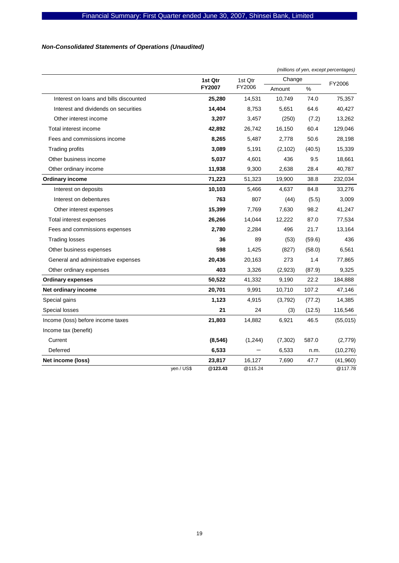# *Non-Consolidated Statements of Operations (Unaudited)*

|                                        |               |         | (millions of yen, except percentages) |        |           |  |
|----------------------------------------|---------------|---------|---------------------------------------|--------|-----------|--|
|                                        | 1st Qtr       | 1st Qtr | Change                                |        | FY2006    |  |
|                                        | <b>FY2007</b> | FY2006  | Amount                                | %      |           |  |
| Interest on loans and bills discounted | 25,280        | 14,531  | 10,749                                | 74.0   | 75,357    |  |
| Interest and dividends on securities   | 14,404        | 8,753   | 5,651                                 | 64.6   | 40,427    |  |
| Other interest income                  | 3,207         | 3,457   | (250)                                 | (7.2)  | 13,262    |  |
| Total interest income                  | 42,892        | 26,742  | 16,150                                | 60.4   | 129,046   |  |
| Fees and commissions income            | 8,265         | 5,487   | 2,778                                 | 50.6   | 28,198    |  |
| Trading profits                        | 3,089         | 5,191   | (2, 102)                              | (40.5) | 15,339    |  |
| Other business income                  | 5,037         | 4,601   | 436                                   | 9.5    | 18,661    |  |
| Other ordinary income                  | 11,938        | 9,300   | 2,638                                 | 28.4   | 40,787    |  |
| <b>Ordinary income</b>                 | 71,223        | 51,323  | 19,900                                | 38.8   | 232,034   |  |
| Interest on deposits                   | 10,103        | 5,466   | 4,637                                 | 84.8   | 33,276    |  |
| Interest on debentures                 | 763           | 807     | (44)                                  | (5.5)  | 3,009     |  |
| Other interest expenses                | 15,399        | 7,769   | 7,630                                 | 98.2   | 41,247    |  |
| Total interest expenses                | 26,266        | 14,044  | 12,222                                | 87.0   | 77,534    |  |
| Fees and commissions expenses          | 2,780         | 2,284   | 496                                   | 21.7   | 13,164    |  |
| <b>Trading losses</b>                  | 36            | 89      | (53)                                  | (59.6) | 436       |  |
| Other business expenses                | 598           | 1,425   | (827)                                 | (58.0) | 6,561     |  |
| General and administrative expenses    | 20,436        | 20,163  | 273                                   | 1.4    | 77,865    |  |
| Other ordinary expenses                | 403           | 3,326   | (2,923)                               | (87.9) | 9,325     |  |
| <b>Ordinary expenses</b>               | 50,522        | 41,332  | 9,190                                 | 22.2   | 184,888   |  |
| Net ordinary income                    | 20,701        | 9,991   | 10,710                                | 107.2  | 47,146    |  |
| Special gains                          | 1,123         | 4,915   | (3,792)                               | (77.2) | 14,385    |  |
| Special losses                         | 21            | 24      | (3)                                   | (12.5) | 116,546   |  |
| Income (loss) before income taxes      | 21,803        | 14,882  | 6,921                                 | 46.5   | (55,015)  |  |
| Income tax (benefit)                   |               |         |                                       |        |           |  |
| Current                                | (8, 546)      | (1,244) | (7, 302)                              | 587.0  | (2,779)   |  |
| Deferred                               | 6,533         |         | 6,533                                 | n.m.   | (10, 276) |  |
| Net income (loss)                      | 23,817        | 16,127  | 7,690                                 | 47.7   | (41,960)  |  |
| yen / US\$                             | @123.43       | @115.24 |                                       |        | @117.78   |  |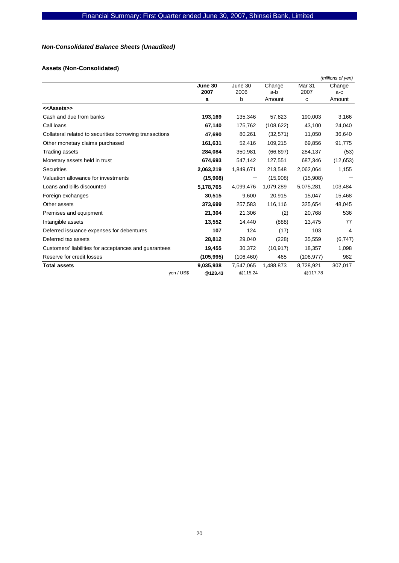# *Non-Consolidated Balance Sheets (Unaudited)*

# **Assets (Non-Consolidated)**

|                                                         |            |            |            |                   | (millions of yen) |
|---------------------------------------------------------|------------|------------|------------|-------------------|-------------------|
|                                                         | June 30    | June 30    | Change     | Mar <sub>31</sub> | Change            |
|                                                         | 2007       | 2006       | a-b        | 2007              | $a-c$             |
|                                                         | a          | b          | Amount     | c                 | Amount            |
| < <assets>&gt;</assets>                                 |            |            |            |                   |                   |
| Cash and due from banks                                 | 193,169    | 135,346    | 57,823     | 190,003           | 3,166             |
| Call loans                                              | 67,140     | 175,762    | (108, 622) | 43,100            | 24,040            |
| Collateral related to securities borrowing transactions | 47,690     | 80,261     | (32, 571)  | 11,050            | 36,640            |
| Other monetary claims purchased                         | 161,631    | 52,416     | 109,215    | 69,856            | 91,775            |
| Trading assets                                          | 284,084    | 350,981    | (66, 897)  | 284,137           | (53)              |
| Monetary assets held in trust                           | 674,693    | 547,142    | 127,551    | 687,346           | (12, 653)         |
| <b>Securities</b>                                       | 2,063,219  | 1,849,671  | 213,548    | 2,062,064         | 1,155             |
| Valuation allowance for investments                     | (15,908)   |            | (15,908)   | (15,908)          |                   |
| Loans and bills discounted                              | 5,178,765  | 4,099,476  | 1,079,289  | 5,075,281         | 103,484           |
| Foreign exchanges                                       | 30,515     | 9,600      | 20,915     | 15,047            | 15,468            |
| Other assets                                            | 373,699    | 257,583    | 116,116    | 325,654           | 48,045            |
| Premises and equipment                                  | 21,304     | 21,306     | (2)        | 20,768            | 536               |
| Intangible assets                                       | 13,552     | 14,440     | (888)      | 13,475            | 77                |
| Deferred issuance expenses for debentures               | 107        | 124        | (17)       | 103               | 4                 |
| Deferred tax assets                                     | 28,812     | 29,040     | (228)      | 35,559            | (6,747)           |
| Customers' liabilities for acceptances and guarantees   | 19,455     | 30,372     | (10, 917)  | 18,357            | 1,098             |
| Reserve for credit losses                               | (105, 995) | (106, 460) | 465        | (106, 977)        | 982               |
| <b>Total assets</b>                                     | 9,035,938  | 7,547,065  | 1,488,873  | 8,728,921         | 307,017           |
| yen / US\$                                              | @123.43    | @115.24    |            | @117.78           |                   |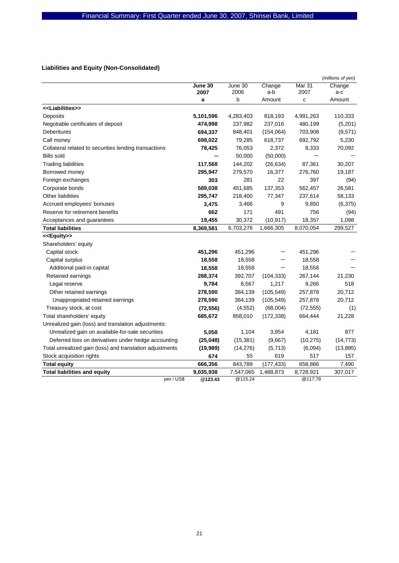# **Liabilities and Equity (Non-Consolidated)**

|                                                          |           |           |            |           | (millions of yen) |
|----------------------------------------------------------|-----------|-----------|------------|-----------|-------------------|
|                                                          | June 30   | June 30   | Change     | Mar 31    | Change            |
|                                                          | 2007      | 2006      | a-b        | 2007      | a-c               |
|                                                          | a         | b         | Amount     | C         | Amount            |
| < <liabilities>&gt;</liabilities>                        |           |           |            |           |                   |
| Deposits                                                 | 5,101,596 | 4,283,403 | 818,193    | 4,991,263 | 110,333           |
| Negotiable certificates of deposit                       | 474,998   | 237,982   | 237,016    | 480,199   | (5,201)           |
| <b>Debentures</b>                                        | 694,337   | 848,401   | (154, 064) | 703,908   | (9, 571)          |
| Call money                                               | 698,022   | 79,285    | 618,737    | 692,792   | 5,230             |
| Collateral related to securities lending transactions    | 78,425    | 76,053    | 2,372      | 8,333     | 70,092            |
| <b>Bills sold</b>                                        |           | 50,000    | (50,000)   |           |                   |
| <b>Trading liabilities</b>                               | 117,568   | 144,202   | (26, 634)  | 87,361    | 30,207            |
| Borrowed money                                           | 295,947   | 279,570   | 16,377     | 276,760   | 19,187            |
| Foreign exchanges                                        | 303       | 281       | 22         | 397       | (94)              |
| Corporate bonds                                          | 589,038   | 451,685   | 137,353    | 562,457   | 26,581            |
| <b>Other liabilities</b>                                 | 295,747   | 218,400   | 77,347     | 237,614   | 58,133            |
| Accrued employees' bonuses                               | 3,475     | 3,466     | 9          | 9,850     | (6, 375)          |
| Reserve for retirement benefits                          | 662       | 171       | 491        | 756       | (94)              |
| Acceptances and quarantees                               | 19,455    | 30,372    | (10, 917)  | 18,357    | 1,098             |
| <b>Total liabilities</b>                                 | 8,369,581 | 6,703,276 | 1,666,305  | 8,070,054 | 299,527           |
| < <equity>&gt;</equity>                                  |           |           |            |           |                   |
| Shareholders' equity                                     |           |           |            |           |                   |
| Capital stock                                            | 451,296   | 451,296   |            | 451,296   |                   |
| Capital surplus                                          | 18,558    | 18,558    |            | 18,558    |                   |
| Additional paid-in capital                               | 18,558    | 18,558    |            | 18,558    |                   |
| Retained earnings                                        | 288,374   | 392,707   | (104, 333) | 267,144   | 21,230            |
| Legal reserve                                            | 9,784     | 8,567     | 1,217      | 9,266     | 518               |
| Other retained earnings                                  | 278,590   | 384,139   | (105, 549) | 257,878   | 20,712            |
| Unappropriated retained earnings                         | 278,590   | 384,139   | (105, 549) | 257,878   | 20,712            |
| Treasury stock, at cost                                  | (72, 556) | (4, 552)  | (68,004)   | (72, 555) | (1)               |
| Total shareholders' equity                               | 685,672   | 858,010   | (172, 338) | 664,444   | 21,228            |
| Unrealized gain (loss) and translation adjustments:      |           |           |            |           |                   |
| Unrealized gain on available-for-sale securities         | 5,058     | 1,104     | 3,954      | 4,181     | 877               |
| Deferred loss on derivatives under hedge accounting      | (25, 048) | (15, 381) | (9,667)    | (10, 275) | (14, 773)         |
| Total unrealized gain (loss) and translation adjustments | (19,989)  | (14, 276) | (5,713)    | (6,094)   | (13, 895)         |
| Stock acquisition rights                                 | 674       | 55        | 619        | 517       | 157               |
| <b>Total equity</b>                                      | 666,356   | 843,789   | (177, 433) | 658,866   | 7,490             |
| <b>Total liabilities and equity</b>                      | 9,035,938 | 7,547,065 | 1,488,873  | 8,728,921 | 307,017           |
| yen / US\$                                               | @123.43   | @115.24   |            | @117.78   |                   |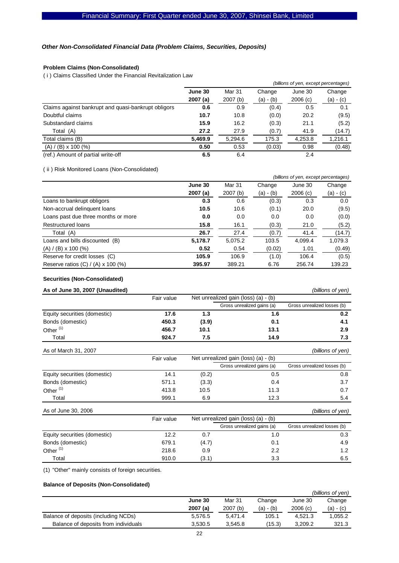### *Other Non-Consolidated Financial Data (Problem Claims, Securities, Deposits)*

## **Problem Claims (Non-Consolidated)**

( i ) Claims Classified Under the Financial Revitalization Law

|                                                     |         | (billions of yen, except percentages) |             |         |             |
|-----------------------------------------------------|---------|---------------------------------------|-------------|---------|-------------|
|                                                     | June 30 | Mar 31                                | Change      | June 30 | Change      |
|                                                     | 2007(a) | 2007(b)                               | $(a) - (b)$ | 2006(c) | $(a) - (c)$ |
| Claims against bankrupt and quasi-bankrupt obligors | 0.6     | 0.9                                   | (0.4)       | 0.5     | 0.1         |
| Doubtful claims                                     | 10.7    | 10.8                                  | (0.0)       | 20.2    | (9.5)       |
| Substandard claims                                  | 15.9    | 16.2                                  | (0.3)       | 21.1    | (5.2)       |
| Total (A)                                           | 27.2    | 27.9                                  | (0.7)       | 41.9    | (14.7)      |
| Total claims (B)                                    | 5,469.9 | 5,294.6                               | 175.3       | 4,253.8 | 1,216.1     |
| $(A) / (B) \times 100$ (%)                          | 0.50    | 0.53                                  | (0.03)      | 0.98    | (0.48)      |
| (ref.) Amount of partial write-off                  | 6.5     | 6.4                                   |             | 2.4     |             |

( ii ) Risk Monitored Loans (Non-Consolidated)

|                                           |          | (billions of yen, except percentages) |             |         |             |
|-------------------------------------------|----------|---------------------------------------|-------------|---------|-------------|
|                                           | June 30  | Mar 31                                | Change      | June 30 | Change      |
|                                           | 2007 (a) | 2007 (b)                              | $(a) - (b)$ | 2006(c) | $(a) - (c)$ |
| Loans to bankrupt obligors                | 0.3      | 0.6                                   | (0.3)       | 0.3     | 0.0         |
| Non-accrual delinquent loans              | 10.5     | 10.6                                  | (0.1)       | 20.0    | (9.5)       |
| Loans past due three months or more       | 0.0      | 0.0                                   | 0.0         | 0.0     | (0.0)       |
| <b>Restructured loans</b>                 | 15.8     | 16.1                                  | (0.3)       | 21.0    | (5.2)       |
| Total (A)                                 | 26.7     | 27.4                                  | (0.7)       | 41.4    | (14.7)      |
| Loans and bills discounted (B)            | 5,178.7  | 5,075.2                               | 103.5       | 4.099.4 | 1,079.3     |
| $(A) / (B) \times 100$ (%)                | 0.52     | 0.54                                  | (0.02)      | 1.01    | (0.49)      |
| Reserve for credit losses (C)             | 105.9    | 106.9                                 | (1.0)       | 106.4   | (0.5)       |
| Reserve ratios $(C) / (A) \times 100$ (%) | 395.97   | 389.21                                | 6.76        | 256.74  | 139.23      |

### **Securities (Non-Consolidated)**

| As of June 30, 2007 (Unaudited) |            |
|---------------------------------|------------|
|                                 | Fair value |

*(billions of yen)* 

|                              | Fair value |       | Net unrealized gain (loss) (a) - (b) |                             |  |
|------------------------------|------------|-------|--------------------------------------|-----------------------------|--|
|                              |            |       | Gross unrealized gains (a)           | Gross unrealized losses (b) |  |
| Equity securities (domestic) | 17.6       | 1.3   | 1.6                                  | 0.2                         |  |
| Bonds (domestic)             | 450.3      | (3.9) | 0.1                                  | 4.1                         |  |
| Other <sup>(1)</sup>         | 456.7      | 10.1  | 13.1                                 | 2.9                         |  |
| Total                        | 924.7      | 7.5   | 14.9                                 | 7.3                         |  |
| As of March 31, 2007         | Fair value |       | Net unrealized gain (loss) (a) - (b) | (billions of yen)           |  |
|                              |            |       | Gross unrealized gains (a)           | Gross unrealized losses (b) |  |
| Equity securities (domestic) | 14.1       | (0.2) | 0.5                                  | 0.8                         |  |
| Bonds (domestic)             | 571.1      | (3.3) | 0.4                                  | 3.7                         |  |
| Other <sup>(1)</sup>         | 413.8      | 10.5  | 11.3                                 | 0.7                         |  |
| Total                        | 999.1      | 6.9   | 12.3                                 | 5.4                         |  |
|                              |            |       |                                      |                             |  |

| As of June 30, 2006          |            |       |                                      | (billions of yen)           |
|------------------------------|------------|-------|--------------------------------------|-----------------------------|
|                              | Fair value |       | Net unrealized gain (loss) (a) - (b) |                             |
|                              |            |       | Gross unrealized gains (a)           | Gross unrealized losses (b) |
| Equity securities (domestic) | 12.2       | 0.7   | 1.0                                  | 0.3                         |
| Bonds (domestic)             | 679.1      | (4.7) | 0.1                                  | 4.9                         |
| Other <sup>(1)</sup>         | 218.6      | 0.9   | 2.2                                  | 1.2                         |
| Total                        | 910.0      | (3.1) | 3.3                                  | 6.5                         |

(1) "Other" mainly consists of foreign securities.

### **Balance of Deposits (Non-Consolidated)**

|                                      |         |          |             |         | (billions of yen) |
|--------------------------------------|---------|----------|-------------|---------|-------------------|
|                                      | June 30 | Mar 31   | Change      | June 30 | Change            |
|                                      | 2007(a) | 2007 (b) | $(a) - (b)$ | 2006(c) | $(a) - (c)$       |
| Balance of deposits (including NCDs) | 5.576.5 | 5.471.4  | 105.1       | 4.521.3 | 1,055.2           |
| Balance of deposits from individuals | 3.530.5 | 3.545.8  | (15.3)      | 3.209.2 | 321.3             |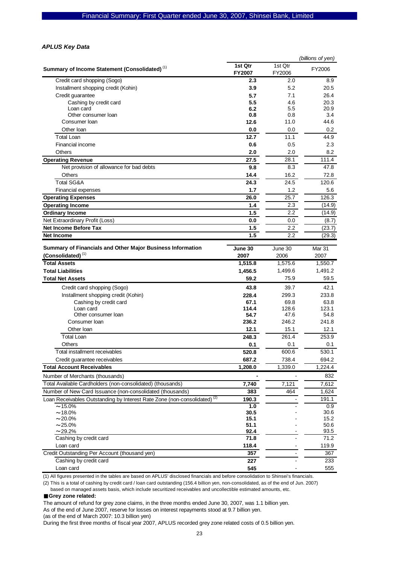### *APLUS Key Data*

|                                                                                      |                          |                   | (billions of yen) |
|--------------------------------------------------------------------------------------|--------------------------|-------------------|-------------------|
| Summary of Income Statement (Consolidated) <sup>(1)</sup>                            | 1st Qtr<br><b>FY2007</b> | 1st Otr<br>FY2006 | FY2006            |
| Credit card shopping (Sogo)                                                          | 2.3                      | 2.0               | 8.9               |
| Installment shopping credit (Kohin)                                                  | 3.9                      | 5.2               | 20.5              |
| Credit guarantee                                                                     | 5.7                      | 7.1               | 26.4              |
| Cashing by credit card                                                               | 5.5                      | 4.6               | 20.3              |
| Loan card                                                                            | 6.2                      | 5.5               | 20.9              |
| Other consumer loan                                                                  | 0.8                      | 0.8               | 3.4               |
| Consumer Ioan                                                                        | 12.6                     | 11.0              | 44.6              |
| Other Ioan                                                                           | 0.0                      | 0.0               | 0.2               |
| <b>Total Loan</b>                                                                    | 12.7                     | 11.1              | 44.9              |
| Financial income                                                                     | 0.6                      | 0.5               | 2.3               |
| Others                                                                               | 2.0                      | 2.0               | 8.2               |
| <b>Operating Revenue</b>                                                             | 27.5                     | 28.1              | 111.4             |
| Net provision of allowance for bad debts                                             | 9.8                      | 8.3               | 47.8              |
| Others                                                                               | 14.4                     | 16.2              | 72.8              |
| <b>Total SG&amp;A</b>                                                                | 24.3                     | 24.5              | 120.6             |
| Financial expenses                                                                   | 1.7                      | 1.2               | 5.6               |
| <b>Operating Expenses</b>                                                            | 26.0                     | 25.7              | 126.3             |
| <b>Operating Income</b>                                                              | 1.4                      | 2.3               | (14.9)            |
| <b>Ordinary Income</b>                                                               | 1.5                      | 2.2               | (14.9)            |
| Net Extraordinary Profit (Loss)                                                      | 0.0                      | 0.0               | (8.7)             |
| <b>Net Income Before Tax</b>                                                         | 1.5                      | 2.2               | (23.7)            |
| <b>Net Income</b>                                                                    | 1.5                      | 2.2               | (29.3)            |
|                                                                                      |                          |                   |                   |
| Summary of Financials and Other Major Business Information                           | June 30                  | June 30           | <b>Mar 31</b>     |
| $(Consolidated)^{(1)}$                                                               | 2007                     | 2006              | 2007              |
| <b>Total Assets</b>                                                                  | 1,515.8                  | 1,575.6           | 1,550.7           |
| <b>Total Liabilities</b>                                                             | 1,456.5                  | 1,499.6           | 1,491.2           |
| <b>Total Net Assets</b>                                                              | 59.2                     | 75.9              | 59.5              |
| Credit card shopping (Sogo)                                                          | 43.8                     | 39.7              | 42.1              |
| Installment shopping credit (Kohin)                                                  | 228.4                    | 299.3             | 233.8             |
| Cashing by credit card                                                               | 67.1                     | 69.8              | 63.8              |
| Loan card                                                                            | 114.4                    | 128.6             | 123.1             |
| Other consumer loan                                                                  | 54.7                     | 47.6              | 54.8              |
| Consumer Ioan                                                                        | 236.2                    | 246.2             | 241.8             |
| Other Ioan                                                                           | 12.1                     | 15.1              | 12.1              |
| <b>Total Loan</b>                                                                    | 248.3                    | 261.4             | 253.9             |
| <b>Others</b>                                                                        | 0.1                      | 0.1               | 0.1               |
| Total installment receivables                                                        | 520.8                    | 600.6             | 530.1             |
| Credit guarantee receivables                                                         | 687.2                    | 738.4             | 694.2             |
| <b>Total Account Receivables</b>                                                     | 1,208.0                  | 1,339.0           | 1,224.4           |
| Number of Merchants (thousands)                                                      |                          |                   | 832               |
| Total Available Cardholders (non-consolidated) (thousands)                           | 7,740                    | 7,121             | 7,612             |
| Number of New Card Issuance (non-consolidated (thousands)                            | 383                      | 464               | 1,624             |
| Loan Receivables Outstanding by Interest Rate Zone (non-consolidated) <sup>(2)</sup> | 190.3                    |                   | 191.1             |
| $~15.0\%$                                                                            | 1.0                      |                   | 0.9               |
| $\sim$ 18.0%                                                                         | 30.5                     |                   | 30.6              |
| $\sim$ 20.0%                                                                         | 15.1                     |                   | 15.2              |
| $\sim$ 25.0%                                                                         | 51.1                     |                   | 50.6              |
| $~29.2\%$                                                                            | 92.4                     |                   | 93.5              |
| Cashing by credit card                                                               | 71.8                     |                   | 71.2              |
| Loan card                                                                            | 118.4                    |                   | 119.9             |
| Credit Outstanding Per Account (thousand yen)                                        | 357                      |                   | 367               |
| Cashing by credit card                                                               | 227                      |                   | 233               |
| Loan card                                                                            | 545                      |                   | 555               |

(1) All figures presented in the tables are based on APLUS' disclosed financials and before consolidation to Shinsei's financials.

(2) This is a total of cashing by credit card / loan card outstanding (156.4 billion yen, non-consolidated, as of the end of Jun. 2007)

based on managed assets basis, which include securitized receivables and uncollectible estimated amounts, etc.

#### ■**Grey zone related:**

The amount of refund for grey zone claims, in the three months ended June 30, 2007, was 1.1 billion yen.

As of the end of June 2007, reserve for losses on interest repayments stood at 9.7 billion yen.

(as of the end of March 2007: 10.3 billion yen)

During the first three months of fiscal year 2007, APLUS recorded grey zone related costs of 0.5 billion yen.